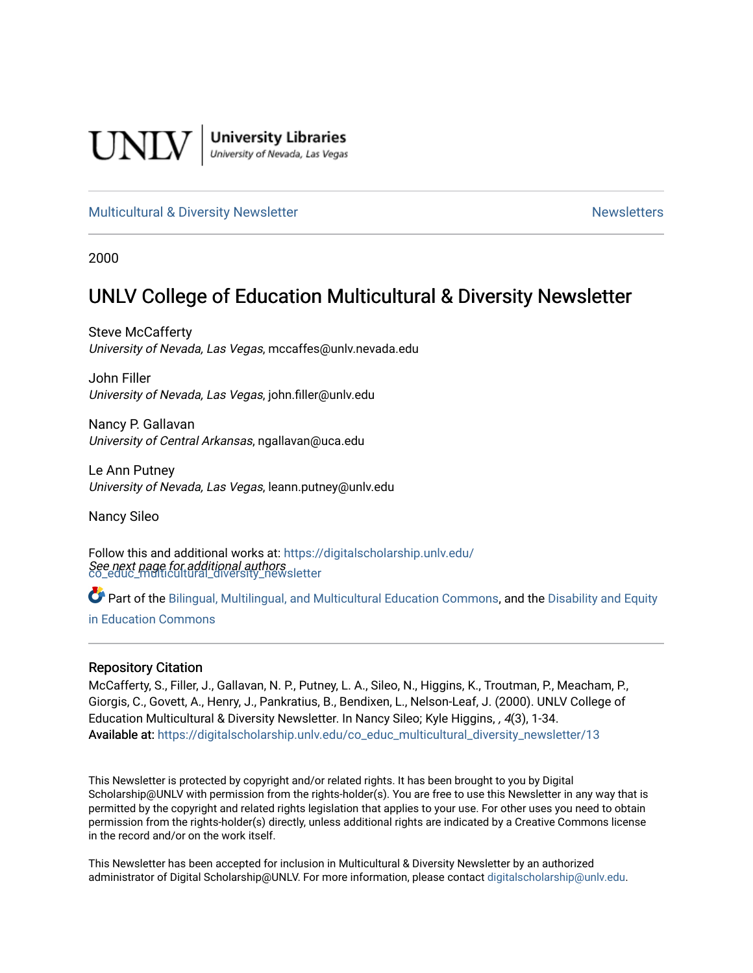

**University Libraries**<br>University of Nevada, Las Vegas

## [Multicultural & Diversity Newsletter](https://digitalscholarship.unlv.edu/co_educ_multicultural_diversity_newsletter) Newsletter [Newsletters](https://digitalscholarship.unlv.edu/co_educ_newsletters) Newsletters

2000

# UNLV College of Education Multicultural & Diversity Newsletter

Steve McCafferty University of Nevada, Las Vegas, mccaffes@unlv.nevada.edu

John Filler University of Nevada, Las Vegas, john.filler@unlv.edu

Nancy P. Gallavan University of Central Arkansas, ngallavan@uca.edu

Le Ann Putney University of Nevada, Las Vegas, leann.putney@unlv.edu

Nancy Sileo

See next page for additional authors [co\\_educ\\_multicultural\\_diversity\\_newsletter](https://digitalscholarship.unlv.edu/co_educ_multicultural_diversity_newsletter?utm_source=digitalscholarship.unlv.edu%2Fco_educ_multicultural_diversity_newsletter%2F13&utm_medium=PDF&utm_campaign=PDFCoverPages)  Follow this and additional works at: [https://digitalscholarship.unlv.edu/](https://digitalscholarship.unlv.edu/co_educ_multicultural_diversity_newsletter?utm_source=digitalscholarship.unlv.edu%2Fco_educ_multicultural_diversity_newsletter%2F13&utm_medium=PDF&utm_campaign=PDFCoverPages)

Part of the [Bilingual, Multilingual, and Multicultural Education Commons,](http://network.bepress.com/hgg/discipline/785?utm_source=digitalscholarship.unlv.edu%2Fco_educ_multicultural_diversity_newsletter%2F13&utm_medium=PDF&utm_campaign=PDFCoverPages) and the Disability and Equity [in Education Commons](http://network.bepress.com/hgg/discipline/1040?utm_source=digitalscholarship.unlv.edu%2Fco_educ_multicultural_diversity_newsletter%2F13&utm_medium=PDF&utm_campaign=PDFCoverPages)

#### Repository Citation

McCafferty, S., Filler, J., Gallavan, N. P., Putney, L. A., Sileo, N., Higgins, K., Troutman, P., Meacham, P., Giorgis, C., Govett, A., Henry, J., Pankratius, B., Bendixen, L., Nelson-Leaf, J. (2000). UNLV College of Education Multicultural & Diversity Newsletter. In Nancy Sileo; Kyle Higgins, , 4(3), 1-34. Available at: [https://digitalscholarship.unlv.edu/co\\_educ\\_multicultural\\_diversity\\_newsletter/13](https://digitalscholarship.unlv.edu/co_educ_multicultural_diversity_newsletter/13) 

This Newsletter is protected by copyright and/or related rights. It has been brought to you by Digital Scholarship@UNLV with permission from the rights-holder(s). You are free to use this Newsletter in any way that is permitted by the copyright and related rights legislation that applies to your use. For other uses you need to obtain permission from the rights-holder(s) directly, unless additional rights are indicated by a Creative Commons license in the record and/or on the work itself.

This Newsletter has been accepted for inclusion in Multicultural & Diversity Newsletter by an authorized administrator of Digital Scholarship@UNLV. For more information, please contact [digitalscholarship@unlv.edu.](mailto:digitalscholarship@unlv.edu)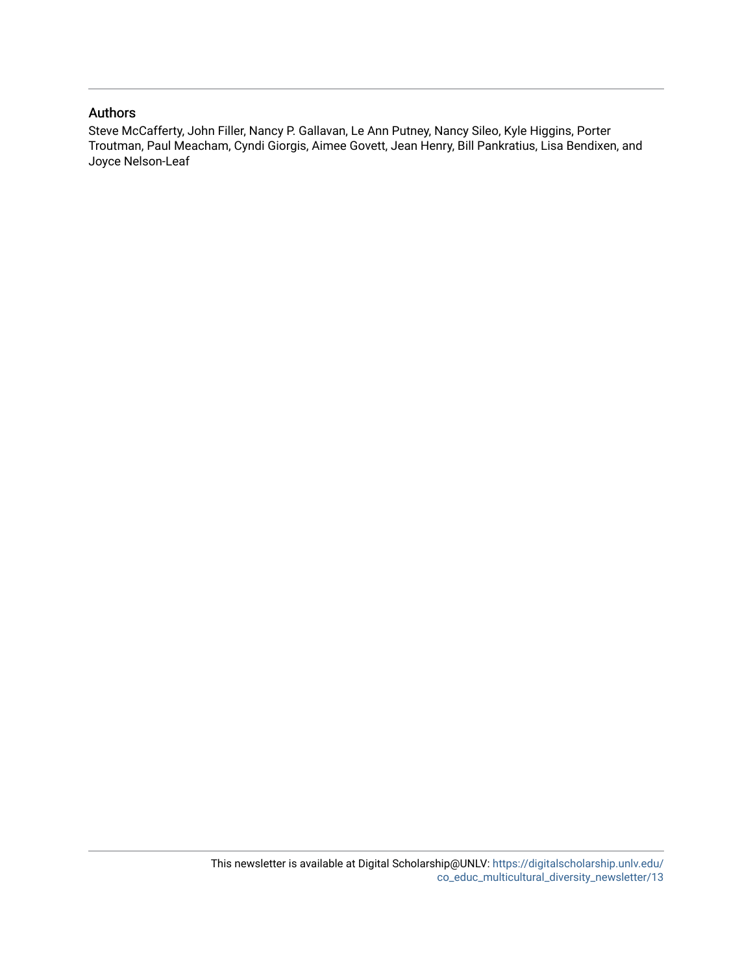## Authors

Steve McCafferty, John Filler, Nancy P. Gallavan, Le Ann Putney, Nancy Sileo, Kyle Higgins, Porter Troutman, Paul Meacham, Cyndi Giorgis, Aimee Govett, Jean Henry, Bill Pankratius, Lisa Bendixen, and Joyce Nelson-Leaf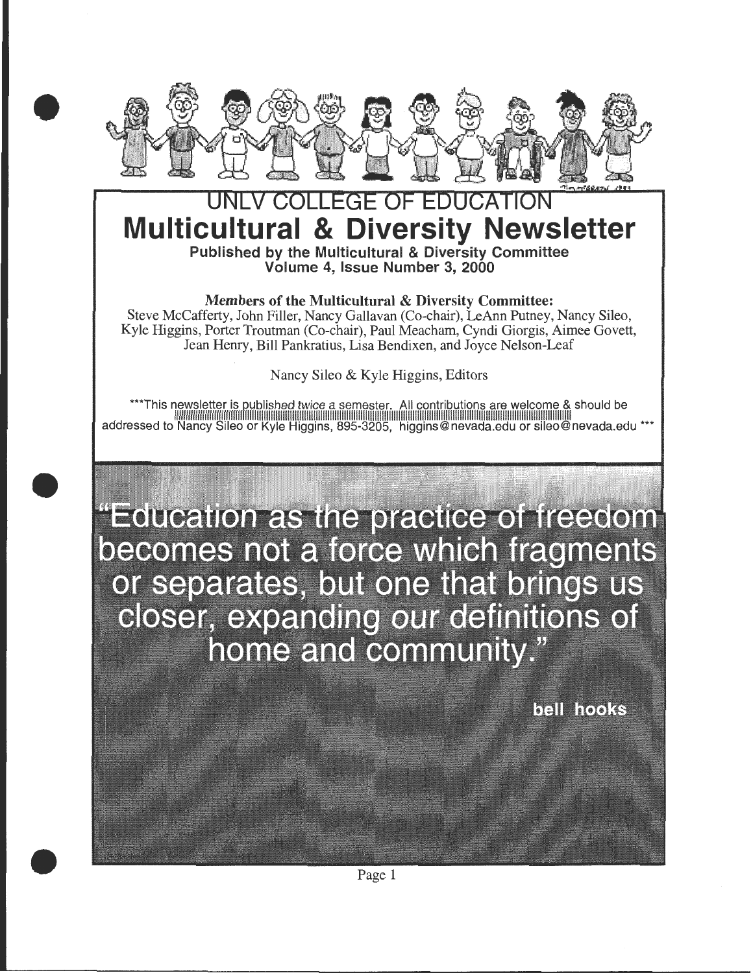

•

•

•

# **EDUCATI Multicultural & Diversity Newsletter**  Published by the Multicultural & Diversity Committee Volume 4, Issue Number 3, 2000

Members of the Multicultural & Diversity Committee:

Steve McCafferty, John Filler, Nancy Gallavan (Co-chair), LeAnn Putney, Nancy Sileo, Kyle Higgins, Porter Troutman (Co-chair), Paul Meacham, Cyndi Giorgis, Aimee Govett, Jean Henry, Bill Pankratius, Lisa Bendixen, and Joyce Nelson-Leaf

Nancy Sileo & Kyle Higgins, Editors

\*\*\*This newsletter is published twice a semester. All contributions are welcome & should be addressed to Nancy Sileo or Kyle Higgins, 895-3205, higgins@nevada.edu or sileo@nevada.edu \*\*\*

"Education as the practice of freedom" becomes not a force which fragments or separates, but one that brings us closer, expanding our definitions of home and community."

bell hooks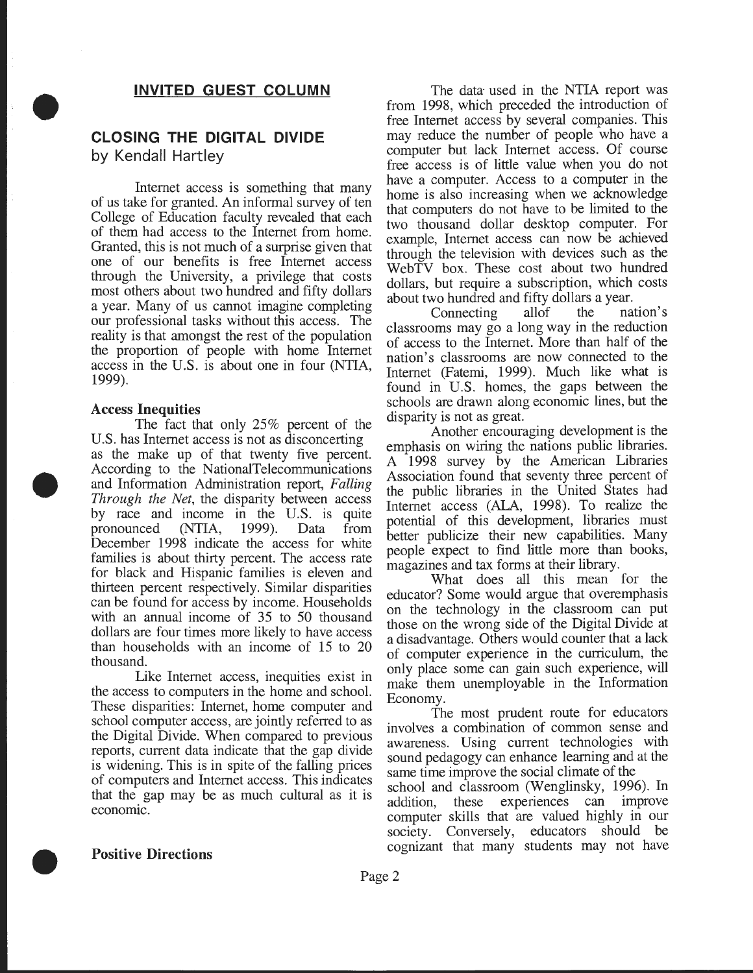## **INVITED GUEST COLUMN**

## **CLOSING THE DIGITAL DIVIDE**  by Kendall Hartley

Internet access is something that many of us take for granted. An informal survey of ten College of Education faculty revealed that each of them had access to the Internet from home. Granted, this is not much of a surprise given that one of our benefits is free Internet access through the University, a privilege that costs most others about two hundred and fifty dollars a year. Many of us cannot imagine completing our professional tasks without this access. The reality is that amongst the rest of the population the proportion of people with home Internet access in the U.S. is about one in four (NTIA, 1999).

#### Access Inequities

•

•

The fact that only 25% percent of the U.S. has Internet access is not as disconcerting as the make up of that twenty five percent. According to the NationalTelecommunications and Information Administration report, *Fallmg Through the Net*, the disparity between access by race and income in the U.S. is quite pronounced (NTIA, 1999). Data from December 1998 indicate the access for white families is about thirty percent. The access rate for black and Hispanic families is eleven and thirteen percent respectively. Similar disparities can be found for access by income. Households with an annual income of 35 to 50 thousand dollars are four times more likely to have access than households with an income of 15 to 20 thousand.

Like Internet access, inequities exist in the access to computers in the home and school. These disparities: Internet, home computer and school computer access, are jointly referred to as the Digital Divide. When compared to previous reports, current data indicate that the gap divide is widening. This is in spite of the falling prices of computers and Internet access. This indicates that the gap may be as much cultural as it is economic.

The data used in the NTIA report was from 1998, which preceded the introduction of free Internet access by several companies. This may reduce the number of people who have a computer but lack Internet access. Of course free access is of little value when you do not have a computer. Access to a computer in the home is also increasing when we acknowledge that computers do not have to be limited to the two thousand dollar desktop computer. For example, Internet access can now be achieved through the television with devices such as the WebTV box. These cost about two hundred dollars, but require a subscription, which costs about two hundred and fifty dollars a year.<br>Connecting allof the na

Connecting allof the nation's classrooms may go a long way in the reduction of access to the Internet. More than half of the nation's classrooms are now connected to the Internet (Fatemi, 1999). Much like what is found in U.S. homes, the gaps between the schools are drawn along economic lines, but the

disparity is not as great.<br>Another encouraging development is the emphasis on wiring the nations public libraries. A 1998 survey by the American Libraries Association found that seventy three percent of the public libraries in the United States had Internet access (ALA, 1998). To realize the potential of this development, libraries must better publicize their new capabilities. Many people expect to find little more than books, magazines and tax forms at their library.

What does all this mean for the educator? Some would argue that overemphasis on the technology in the classroom can put those on the wrong side of the Digital Divide at a disadvantage. Others would counter that a lack of computer experience in the curriculum, the only place some can gain such experience, will make them unemployable in the Information Economy.

The most prudent route for educators involves a combination of common sense and awareness. Using current technologies with sound pedagogy can enhance learning and at the same time improve the social climate of the

school and classroom (Wenglinsky, 1996). In addition, these experiences can improve computer skills that are valued highly in our society. Conversely, educators should be cognizant that many students may not have

#### Positive Directions

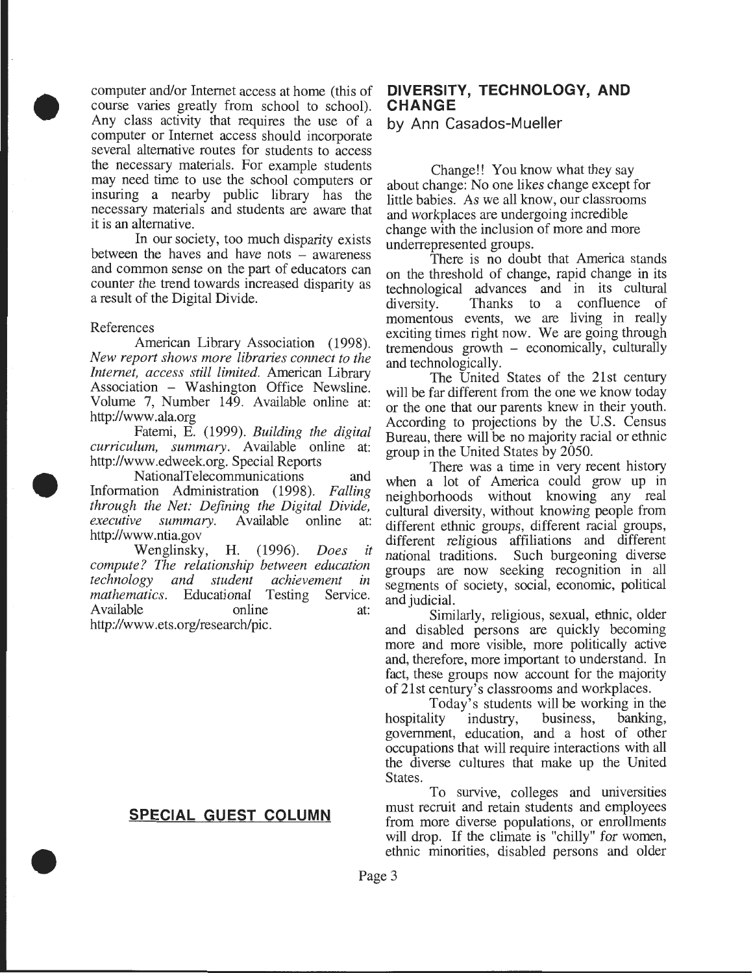computer and/or Internet access at home (this of course varies greatly from school to school). Any class activity that requires the use of a computer or Internet access should incorporate several alternative routes for students to access the necessary materials. For example students may need time to use the school computers or insuring a nearby public library has the necessary materials and students are aware that it is an alternative.

In our society, too much disparity exists between the haves and have nots – awareness and common sense on the part of educators can counter the trend towards increased disparity as a result of the Digital Divide.

#### References

•

•

•

American Library Association (1998). *New report shows more libraries connect to the Internet, access still limited.* American Library Association - Washington Office Newsline. Volume 7, Number 149. Available online at: http://www .ala.org

Fatemi, E. (1999). *Building the digital curriculum, summary.* Available online at: http://www.edweek.org. Special Reports

NationalTelecommunications and Information Administration (1998). *Falling through the Net: Defining the Digital Divide, executive summary.* Available online at: http://www .ntia.gov

Wenglinsky, H. (1996). *Does it compute? The relationship between education technology and student achievement in mathematics.* Educational Testing Service. Available online at: http://www .ets.org/research/pic.

## **SPECIAL GUEST COLUMN**

## **DIVERSITY, TECHNOLOGY, AND CHANGE**

by Ann Casados-Mueller

Change!! You know what they say about change: No one likes change except for little babies. As we all know, our classrooms and workplaces are undergoing incredible change with the inclusion of more and more underrepresented groups.

There is no doubt that America stands on the threshold of change, rapid change in its technological advances and in its cultural Thanks to a confluence of momentous events, we are living in really exciting times right now. We are going through tremendous growth - economically, culturally and technologically.

The United States of the 21st century will be far different from the one we know today or the one that our parents knew in their youth. According to projections by the U.S. Census Bureau, there will be no majority racial or ethnic group in the United States by 2050. .

There was a time in very recent history when a lot of America could grow up in neighborhoods without knowing any real cultural diversity, without knowing people from different ethnic groups, different racial groups, different religious affiliations and different national traditions. Such burgeoning diverse groups are now seeking recognition in all segments of society, social, economic, political

and judicial.<br>Similarly, religious, sexual, ethnic, older and disabled persons are quickly becoming more and more visible, more politically active and, therefore, more important to understand. In fact, these groups now account for the majority of 21st century's classrooms and workplaces.

Today's students will be working in the hospitality industry, business, banking, government, education, and a host of other occupations that will require interactions with all the diverse cultures that make up the Umted States.

To survive, colleges and universities must recruit and retain students and employees from more diverse populations, or enrollments will drop. If the climate is "chilly" for women, ethnic minorities, disabled persons and older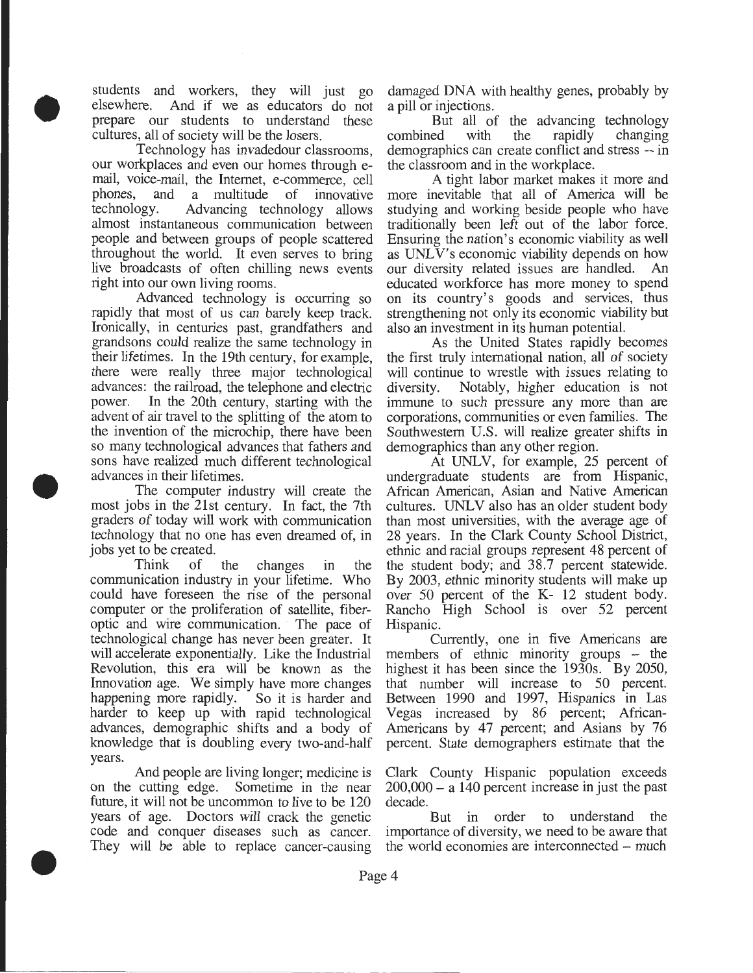students and workers, they will just go elsewhere. And if we as educators do not prepare our students to understand these cultures, all of society will be the losers.

•

•

•

Technology has invadedour classrooms, our workplaces and even our homes through email, voice-mail, the Internet, e-commerce, cell phones, and a multitude of innovative technology. Advancing technology allows Advancing technology allows almost instantaneous communication between people and between groups of people scattered throughout the world. It even serves to bring live broadcasts of often chilling news events right into our own living rooms.

Advanced technology is occurring so rapidly that most of us can barely keep track. Ironically, in centuries past, grandfathers and grandsons could realize the same technology in their lifetimes. In the 19th century, for example, there were really three major technological advances: the railroad, the telephone and electric power. In the 20th century, starting with the advent of air travel to the splitting of the atom to the invention of the microchip, there have been so many technological advances that fathers and sons have realized much different technological advances in their lifetimes.

The computer industry will create the most jobs in the 21st century. In fact, the 7th graders of today will work with communication technology that no one has even dreamed of, in jobs yet to be created.

Think of the changes in the communication industry in your lifetime. Who could have foreseen the rise of the personal computer or the proliferation of satellite, fiberoptic and wire communication. The pace of technological change has never been greater. It will accelerate exponentially. Like the Industrial Revolution, this era will be known as the Innovation age. We simply have more changes happening more rapidly. So it is harder and harder to keep up with rapid technological advances, demographic shifts and a body of knowledge that is doubling every two-and-half years.

And people are living longer; medicine is on the cutting edge. Sometime in the near future, it will not be uncommon to live to be 120 years of age. Doctors will crack the genetic code and conquer diseases such as cancer. They will be able to replace cancer-causing damaged DNA with healthy genes, probably by a pill or injections.

But all of the advancing technology combined with the rapidly changing demographics can create conflict and stress -- in the classroom and in the workplace.

A tight labor market makes it more and more inevitable that all of America will be studying and working beside people who have traditionally been left out of the labor force. Ensuring the nation's economic viability as well as UNLV's economic viability depends on how our diversity related issues are handled. An educated workforce has more money to spend on its country's goods and services, thus strengthening not only its economic viability but also an investment in its human potential.

As the United States rapidly becomes the first truly international nation, all of society will continue to wrestle with issues relating to diversity. Notably, higher education is not immune to such pressure any more than are corporations, communities or even families. The Southwestern U.S. will realize greater shifts in demographics than any other region.

At UNLV, for example, 25 percent of undergraduate students are from Hispanic, African American, Asian and Native American cultures. UNLV also has an older student body than most universities, with the average age of 28 years. In the Clark County School District, ethnic and racial groups represent 48 percent of the student body; and 38.7 percent statewide. By 2003, ethnic minority students will make up over 50 percent of the K- 12 student body. Rancho High School is over 52 percent Hispanic.

Currently, one in five Americans are members of ethnic minority groups - the highest it has been since the 1930s. By 2050, that number will increase to 50 percent. Between 1990 and 1997, Hispanics in Las Vegas increased by 86 percent; African-Americans by 47 percent; and Asians by 76 percent. State demographers estimate that the

Clark County Hispanic population exceeds  $200,000 - a$  140 percent increase in just the past decade.

But in order to understand the importance of diversity, we need to be aware that the world economies are interconnected – much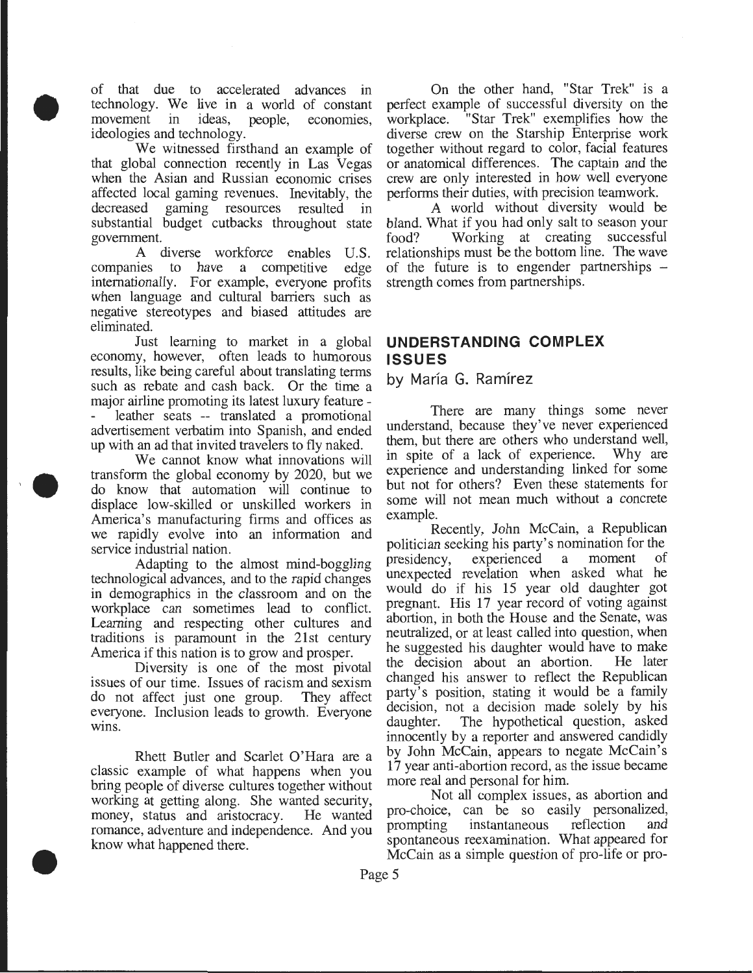of that due to accelerated advances in technology. We live in a world of constant movement in ideas, people, economies, ideologies and technology.

•

••

•

We witnessed firsthand an example of that global connection recently in Las Vegas when the Asian and Russian economic crises affected local gaming revenues. Inevitably, the decreased gaming resources resulted in substantial budget cutbacks throughout state government.

A diverse workforce enables U.S. companies to have a competitive edge internationally. For example, everyone profits when language and cultural barriers such as negative stereotypes and biased attitudes are eliminated.

Just learning to market in a global economy, however, often leads to humorous results, like being careful about translating terms such as rebate and cash back. Or the time a major airline promoting its latest luxury feature leather seats -- translated a promotional advertisement verbatim into Spanish, and ended up with an ad that invited travelers to fly naked.

We cannot know what innovations will transform the global economy by 2020, but we do know that automation will continue to displace low-skilled or unskilled workers in America's manufacturing firms and offices as we rapidly evolve into an information and service industrial nation.

Adapting to the almost mind-boggling technological advances, and to the rapid changes in demographics in the classroom and on the workplace can sometimes lead to conflict. Learning and respecting other cultures and traditions is paramount in the 21st century America if this nation is to grow and prosper.

Diversity is one of the most pivotal issues of our time. Issues of racism and sexism do not affect just one group. They affect everyone. Inclusion leads to growth. Everyone wins.

Rhett Butler and Scarlet O'Hara are a classic example of what happens when you bring people of diverse cultures together without working at getting along. She wanted security, money, status and aristocracy. He wanted romance, adventure and independence. And you know what happened there.

On the other hand, "Star Trek" is a perfect example of successful diversity on the workplace. "Star Trek" exemplifies how the "Star Trek" exemplifies how the diverse crew on the Starship Enterprise work together without regard to color, facial features or anatomical differences. The captain and the crew are only interested in how well everyone performs their duties, with precision teamwork.

A world without diversity would be bland. What if you had only salt to season your food? Working at creating successful Working at creating successful relationships must be the bottom line. The wave of the future is to engender partnerships – strength comes from partnerships.

## **UNDERSTANDING COMPLEX ISSUES**

by María G. Ramírez

There are many things some never understand, because they've never experienced them, but there are others who understand well, in spite of a lack of experience. Why are experience and understanding linked for some but not for others? Even these statements for some will not mean much without a concrete example.

Recently, John McCain, a Republican politician seeking his party's nomination for the presidency, experienced a moment of unexpected revelation when asked what he would do if his 15 year old daughter got pregnant. His 17 year record of voting against abortion, in both the House and the Senate, was neutralized, or at least called into question, when he suggested his daughter would have to make<br>the decision about an abortion. He later the decision about an abortion. changed his answer to reflect the Republican party's position, stating it would be a family decision, not a decision made solely by his daughter. The hypothetical question, asked innocently by a reporter and answered candidly by John McCain, appears to negate McCain's 17 year anti -abortion record, as the issue became more real and personal for him.

Not all complex issues, as abortion and pro-choice, can be so easily personalized, prompting instantaneous reflection and spontaneous reexamination. What appeared for McCain as a simple question of pro-life or pro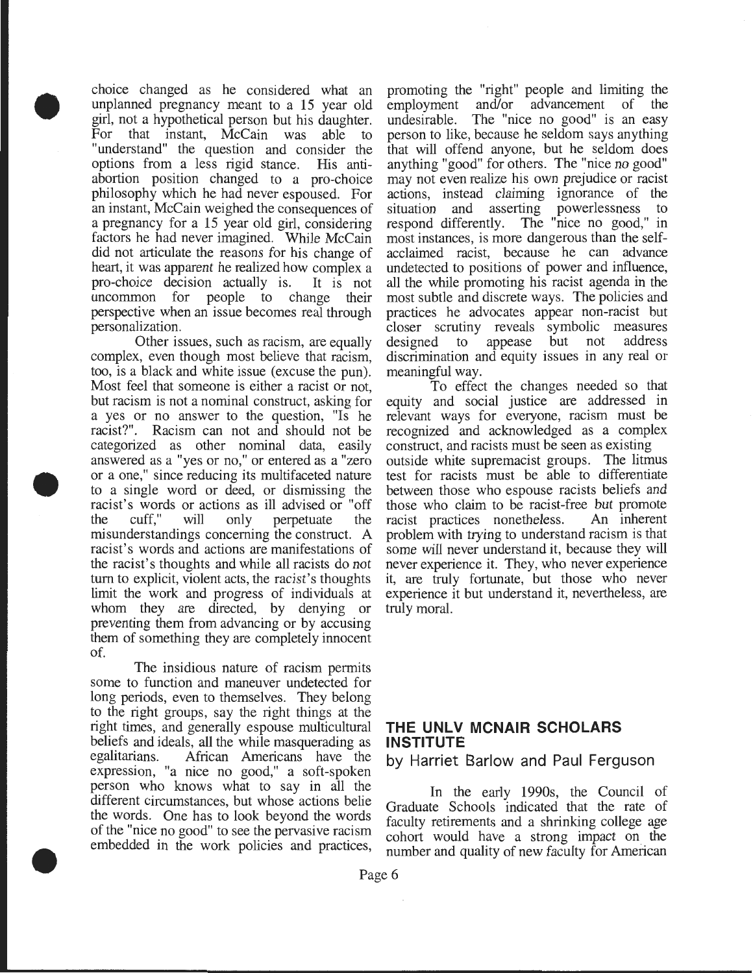choice changed as he considered what an unplanned pregnancy meant to a 15 year old girl, not a hypothetical person but his daughter. For that instant, McCain was able to "understand" the question and consider the options from a less rigid stance. His antiabortion position changed to a pro-choice philosophy which he had never espoused. For an instant, McCain weighed the consequences of a pregnancy for a 15 year old girl, considering factors he had never imagined. While McCain did not articulate the reasons for his change of heart, it was apparent he realized how complex a pro-choice decision actually is. It is not uncommon for people to change their perspective when an issue becomes real through personalization.

•

•

•

Other issues, such as racism, are equally complex, even though most believe that racism, too, is a black and white issue (excuse the pun). Most feel that someone is either a racist or not, but racism is not a nominal construct, asking for a yes or no answer to the question, "Is he racist?". Racism can not and should not be categorized as other nominal data, easily answered as a "yes or no," or entered as a "zero or a one," since reducing its multifaceted nature to a single word or deed, or dismissing the racist's words or actions as ill advised or "off the cuff," will only perpetuate the misunderstandings concerning the construct. A racist's words and actions are manifestations of the racist's thoughts and while all racists do not tum to explicit, violent acts, the racist's thoughts limit the work and progress of individuals at whom they are directed, by denying or preventing them from advancing or by accusing them of something they are completely innocent of.

The insidious nature of racism permits some to function and maneuver undetected for long periods, even to themselves. They belong to the right groups, say the right things at the right times, and generally espouse multicultural beliefs and ideals, all the while masquerading as egalitarians. African Americans have the expression, "a nice no good," a soft-spoken person who knows what to say in all the different circumstances, but whose actions belie the words. One has to look beyond the words of the "nice no good" to see the pervasive racism embedded in the work policies and practices, promoting the "right" people and limiting the employment and/or advancement of the undesirable. The "nice no good" is an easy person to like, because he seldom says anything that will offend anyone, but he seldom does anything "good" for others. The "nice no good" may not even realize his own prejudice or racist actions, instead claiming ignorance of the situation and asserting powerlessness to respond differently. The "nice no good," in most instances, is more dangerous than the selfacclaimed racist, because he can advance undetected to positions of power and influence, all the while promoting his racist agenda in the most subtle and discrete ways. The policies and practices he advocates appear non-racist but closer scrutiny reveals symbolic measures designed to appease but not address discrimination and equity issues in any real or meaningful way.

To effect the changes needed so that equity and social justice are addressed in relevant ways for everyone, racism must be recognized and acknowledged as a complex construct, and racists must be seen as existing outside white supremacist groups. The litmus test for racists must be able to differentiate between those who espouse racists beliefs and those who claim to be racist-free but promote racist practices nonetheless. An inherent problem with trying to understand racism is that some will never understand it, because they will never experience it. They, who never experience it, are truly fortunate, but those who never experience it but understand it, nevertheless, are truly moral.

## **THE UNLV MCNAIR SCHOLARS INSTITUTE**

**by Harriet Barlow and Paul Ferguson** 

In the early 1990s, the Council of Graduate Schools indicated that the rate of faculty retirements and a shrinking college age cohort would have a strong impact on the number and quality of new faculty for American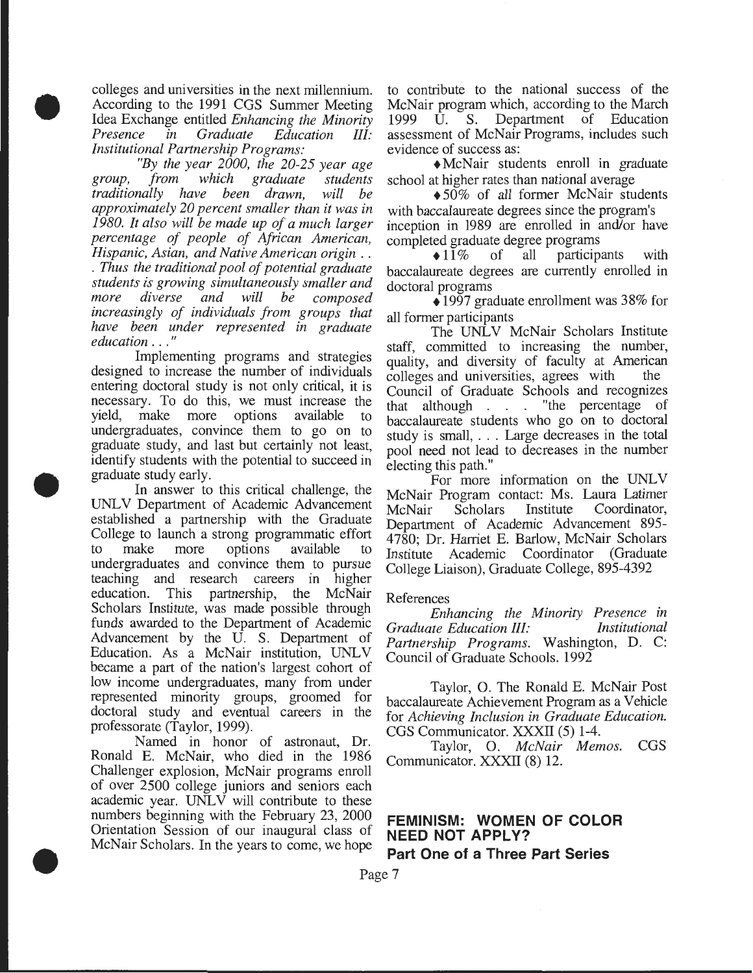colleges and universities in the next millennium. According to the 1991 CGS Summer Meeting Idea Exchange entitled *Enhancing the Minority <u>Education</u> Institutional Partnership Programs:* 

•

•

•

*"By the year 2000, the 20-25 year age group, from which graduate students traditionally have been drawn, will be approximately 20 percent smaller than it was in 1980. It also will be made up of a much larger percentage of people of African American, Hispanic, Asian, and Native American origin* .. . *Thus the traditional pool of potential graduate students is growing simultaneously smaller and more diverse and will be composed increasingly of individuals from groups that have been under represented in graduate education* ... "

Implementing programs and strategies designed to increase the number of individuals entering doctoral study is not only critical, it is necessary. To do this, we must increase the yield, make more options available to undergraduates, convince them to go on to graduate study, and last but certainly not least, identify students with the potential to succeed in graduate study early.

In answer to this critical challenge, the UNL V Department of Academic Advancement established a partnership with the Graduate College to launch a strong programmatic effort to make more options available to undergraduates and convince them to pursue teaching and research careers in higher education. This partnership, the McNair Scholars Institute, was made possible through funds awarded to the Department of Academic Advancement by the U. S. Department of Education. As a McNair institution, UNLV became a part of the nation's largest cohort of low income undergraduates, many from under represented minority groups, groomed for doctoral study and eventual careers in the professorate (Taylor, 1999).

Named in honor of astronaut, Dr. Ronald E. McNair, who died in the 1986 Challenger explosion, McNair programs enroll of over 2500 college juniors and seniors each academic year. UNLV will contribute to these numbers beginning with the February 23, 2000 Orientation Session of our inaugural class of McNair Scholars. In the years to come, we hope

to contribute to the national success of the McNair program which, according to the March 1999 U. S. Department of Education assessment of McNair Programs, includes such evidence of success as:

+McNair students enroll in graduate school at higher rates than national average

+50% of all former McNair students with baccalaureate degrees since the program's inception in 1989 are enrolled in and/or have

completed graduate degree programs<br> $\bigcirc$  11% of all particip all participants with baccalaureate degrees are currently enrolled in doctoral programs

 $\triangle$ 1997 graduate enrollment was 38% for all former participants

The UNLV McNair Scholars Institute staff, committed to increasing the number, quality, and diversity of faculty at American colleges and universities, agrees with the colleges and universities, agrees with Council of Graduate Schools and recogmzes that although . . . "the percentage of baccalaureate students who go on to doctoral study is small, ... Large decreases in the total pool need not lead to decreases in the number electing this path."

For more information on the UNLV McNair Program contact: Ms. Laura Latimer McNair Scholars Institute Coordinator, Department of Academic Advancement 895- 4780; Dr. Harriet E. Barlow, McNair Scholars Coordinator (Graduate College Liaison), Graduate College, 895-4392

#### References

*Enhancing the Minority Presence in Graduate Education III: Partnership Programs.* Washington, D. C: Council of Graduate Schools. 1992

Taylor, O. The Ronald E. McNair Post baccalaureate Achievement Program as a Vehicle for *Achieving Inclusion in Graduate Education.*  CGS Communicator. XXXII (5) 1-4.

Taylor, 0. *McNair Memos.* CGS Communicator. XXXII (8) 12.

# **FEMINISM: WOMEN OF COLOR NEED NOT APPLY?**

**Part One of a Three Part Series**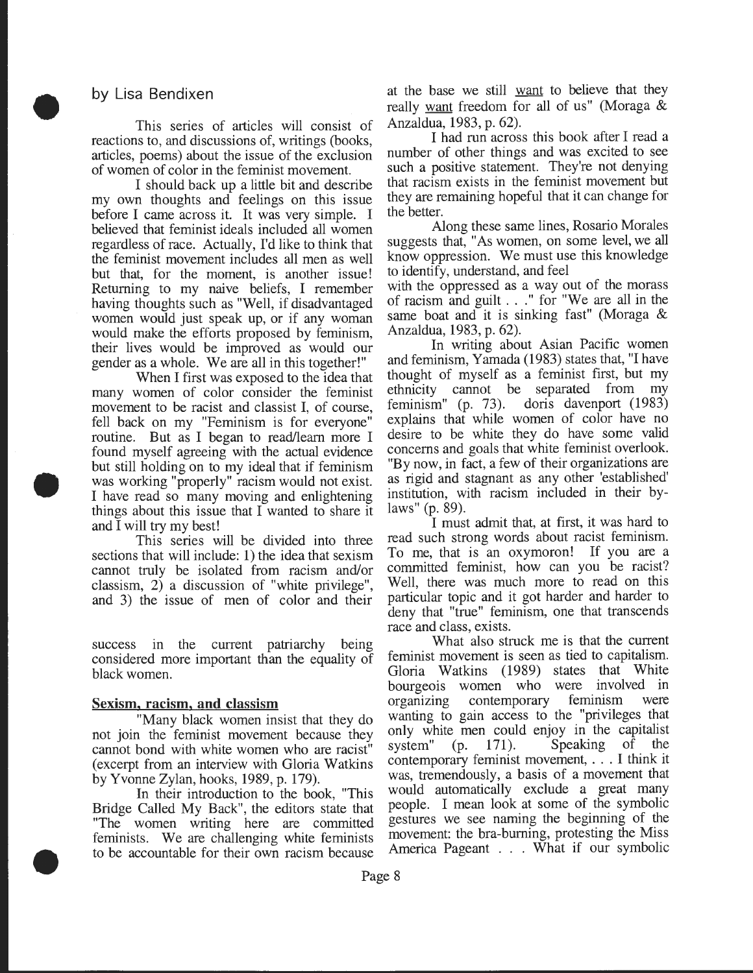## by Lisa Bendixen

•

•

•

This series of articles will consist of reactions to, and discussions of, writings (books, articles, poems) about the issue of the exclusion of women of color in the feminist movement.

I should back up a little bit and describe my own thoughts and feelings on this issue before I came across it. It was very simple. I believed that feminist ideals included all women regardless of race. Actually, I'd like to think that the feminist movement includes all men as well but that, for the moment, is another issue! Returning to my naive beliefs, I remember having thoughts such as "Well, if disadvantaged women would just speak up, or if any woman would make the efforts proposed by feminism, their lives would be improved as would our gender as a whole. We are all in this together!"

When I first was exposed to the idea that many women of color consider the feminist movement to be racist and classist I, of course, fell back on my "Feminism is for everyone" routine. But as I began to read/learn more I found myself agreeing with the actual evidence but still holding on to my ideal that if feminism was working "properly" racism would not exist. I have read so many moving and enlightening things about this issue that I wanted to share it and I will try my best!

This series will be divided into three sections that will include: 1) the idea that sexism cannot truly be isolated from racism and/or classism, 2) a discussion of "white privilege", and 3) the issue of men of color and their

success in the current patriarchy being considered more important than the equality of black women.

#### Sexism. racism, **and** classism

"Many black women insist that they do not join the feminist movement because they cannot bond with white women who are racist" (excerpt from an interview with Gloria Watkins by Yvonne Zylan, hooks, 1989, p. 179).

In their introduction to the book, "This Bridge Called My Back", the editors state that "The women writing here are committed feminists. We are challenging white feminists to be accountable for their own racism because at the base we still want to believe that they really want freedom for all of us" (Moraga & Anzaldua, 1983, p. 62).

I had run across this book after I read a number of other things and was excited to see such a positive statement. They're not denying that racism exists in the feminist movement but they are remaining hopeful that it can change for the better.

Along these same lines, Rosario Morales suggests that, "As women, on some level, we all know oppression. We must use this knowledge to identify, understand, and feel

with the oppressed as a way out of the morass of racism and guilt . . ." for "We are all in the same boat and it is sinking fast" (Moraga & Anzaldua, 1983, p. 62).

In writing about Asian Pacific women and feminism, Yamada (1983) states that, "I have thought of myself as a feminist first, but my ethnicity cannot be separated from my feminism" (p. 73). doris davenport (1983) explains that while women of color have no desire to be white they do have some valid concerns and goals that white feminist overlook. "By now, in fact, a few of their organizations are as rigid and stagnant as any other 'established' institution, with racism included in their bylaws" (p. 89).

I must admit that, at first, it was hard to read such strong words about racist feminism. To me, that is an oxymoron! If you are a committed feminist, how can you be racist? Well, there was much more to read on this particular topic and it got harder and harder to deny that "true" feminism, one that transcends race and class, exists.

What also struck me is that the current feminist movement is seen as tied to capitalism. Gloria Watkins (1989) states that White bourgeois women who were involved in organizing contemporary feminism were wanting to gain access to the "privileges that only white men could enjoy in the capitalist system" (p. 171). Speaking of the contemporary feminist movement, ... I think it was, tremendously, a basis of a movement that would automatically exclude a great many people. I mean look at some of the symbolic gestures we see naming the beginning of the movement: the bra-burning, protesting the Miss America Pageant . . . What if our symbolic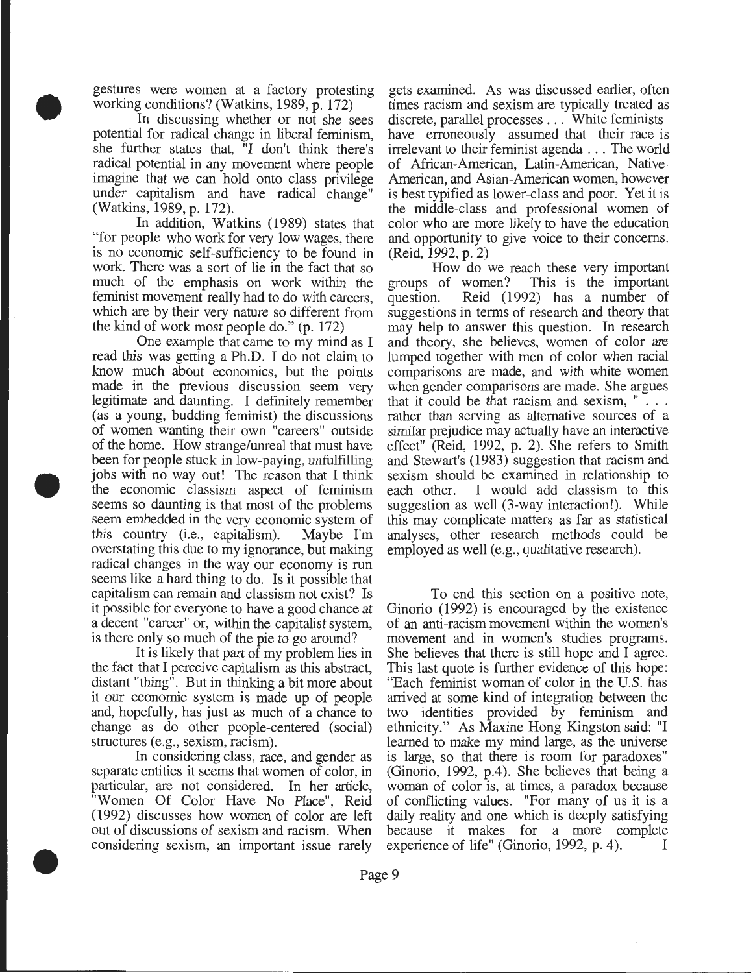gestures were women at a factory protesting working conditions? (Watkins, 1989, p. 172)

• In discussing whether or not she sees potential for radical change in liberal feminism, she further states that, "I don't think there's radical potential in any movement where people imagine that we can hold onto class privilege under capitalism and have radical change" (Watkins, 1989, p. 172).

In addition, Watkins (1989) states that "for people who work for very low wages, there is no economic self-sufficiency to be found in work. There was a sort of lie in the fact that so much of the emphasis on work within the feminist movement really had to do with careers, which are by their very nature so different from the kind of work most people do." (p. 172)

One example that came to my mind as I read this was getting a Ph.D. I do not claim to know much about economics, but the points made in the previous discussion seem very legitimate and daunting. I definitely remember (as a young, budding feminist) the discussions of women wanting their own "careers" outside of the home. How strange/unreal that must have been for people stuck in low-paying, unfulfilling jobs with no way out! The reason that I think the economic classism aspect of feminism seems so daunting is that most of the problems seem embedded in the very economic system of this country (i.e., capitalism). Maybe I'm overstating this due to my ignorance, but making radical changes in the way our economy is run seems like a hard thing to do. Is it possible that capitalism can remain and classism not exist? Is it possible for everyone to have a good chance at a decent "career" or, within the capitalist system, is there only so much of the pie to go around?

•

•

It is likely that part of my problem lies in the fact that I perceive capitalism as this abstract, distant "thing". But in thinking a bit more about it our economic system is made up of people and, hopefully, has just as much of a chance to change as do other people-centered (social) structures (e.g., sexism, racism).

In considering class, race, and gender as separate entities it seems that women of color, in particular, are not considered. In her article, "Women Of Color Have No Place", Reid (1992) discusses how women of color are left out of discussions of sexism and racism. When considering sexism, an important issue rarely

gets examined. As was discussed earlier, often times racism and sexism are typically treated as discrete, parallel processes . . . White feminists have erroneously assumed that their race is irrelevant to their feminist agenda ... The world of African-American, Latin-American, Native-American, and Asian-American women, however is best typified as lower-class and poor. Yet it is the middle-class and professional women of color who are more likely to have the education and opportunity to give voice to their concerns. (Reid, 1992, p. 2)

How do we reach these very important groups of women? This is the important question. Reid (1992) has a number of suggestions in terms of research and theory that may help to answer this question. In research and theory, she believes, women of color are lumped together with men of color when racial comparisons are made, and with white women when gender comparisons are made. She argues that it could be that racism and sexism,  $" \dots$ rather than serving as alternative sources of a similar prejudice may actually have an interactive effect" (Reid, 1992, p. 2). She refers to Smith and Stewart's (1983) suggestion that racism and sexism should be examined in relationship to each other. I would add classism to this suggestion as well (3-way interaction!). While this may complicate matters as far as statistical analyses, other research methods could be employed as well (e.g., qualitative research).

To end this section on a positive note, Ginorio (1992) is encouraged by the existence of an anti-racism movement within the women's movement and in women's studies programs. She believes that there is still hope and I agree. This last quote is further evidence of this hope: "Each feminist woman of color in the U.S. has arrived at some kind of integration between the two identities provided by feminism and ethnicity." As Maxine Hong Kingston said: "I learned to make my mind large, as the universe is large, so that there is room for paradoxes" (Ginorio, 1992, p.4). She believes that being a woman of color is, at times, a paradox because of conflicting values. "For many of us it is a daily reality and one which is deeply satisfying because it makes for a more complete experience of life" (Ginorio, 1992, p. 4). I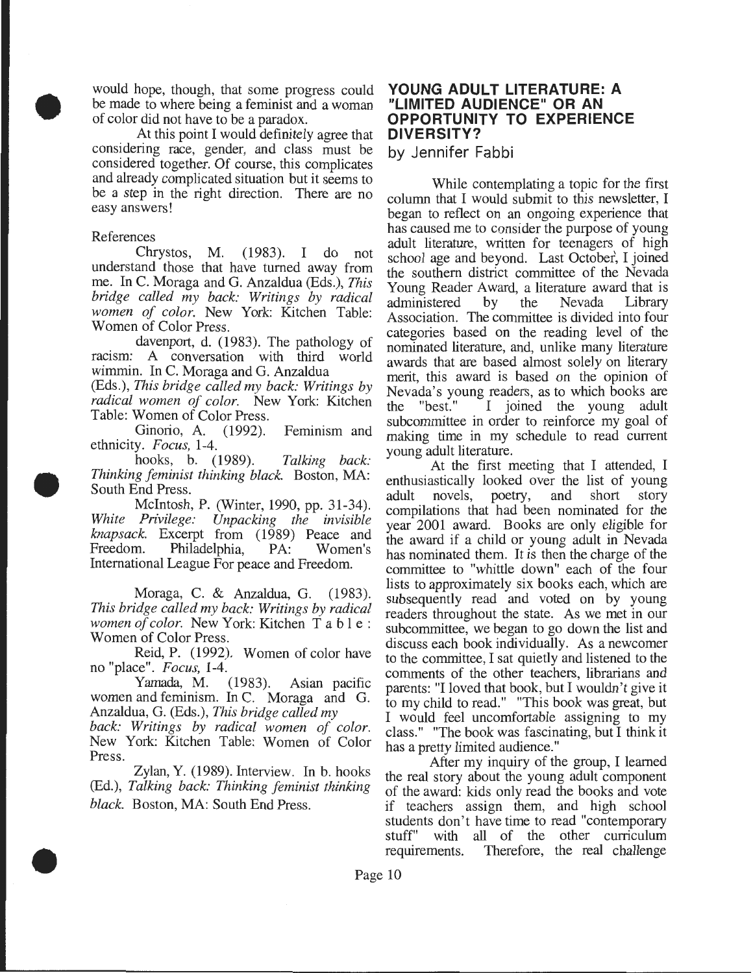would hope, though, that some progress could be made to where being a feminist and a woman of color did not have to be a paradox.

• At this point I would definitely agree that considering race, gender, and class must be considered together. Of course, this complicates and already complicated situation but it seems to be a step in the right direction. There are no easy answers!

#### References

•

•

Chrystos, M. (1983). I do not understand those that have turned away from me. In C. Moraga and G. Anzaldua (Eds.), *This bridge called my back: Writings by radical women of color.* New York: Kitchen Table: Women of Color Press.

davenport, d. (1983). The pathology of racism: A conversation with third world wimmin. In C. Moraga and G. Anzaldua

(Eds.), *This bridge called my back: Writings by radical women of color.* New York: Kitchen Table: Women of Color Press.

Ginorio, A. (1992). Feminism and ethnicity. *Focus,* 1-4.

hooks, b. (1989). *Talking back: Thinking feminist thinking black.* Boston, MA: South End Press.

Mcintosh, P. (Winter, 1990, pp. 31-34). *White Privilege: Unpacking the invisible knapsack.* Excerpt from (1989) Peace and Freedom. Philadelphia, PA: Women's International League For peace and Freedom.

Moraga, C. & Anzaldua, G. (1983). *This bridge called my back: Writings by radical women of color.* New York: Kitchen T a b I e : Women of Color Press.

Reid, P. (1992). Women of color have no "place". *Focus,* 1-4.

 $(1983)$ . Asian pacific women and feminism. In C. Moraga and G. Anzaldua, G. (Eds.), *This bridge called my* 

*back: Writings by radical women of color.*  New York: Kitchen Table: Women of Color Press.

Zylan, Y. (1989). Interview. In b. hooks (Ed.), *Talking back: Thinking feminist thinking black.* Boston, MA: South End Press.

## **YOUNG ADULT LITERATURE: A "LIMITED AUDIENCE" OR AN OPPORTUNITY TO EXPERIENCE DIVERSITY?**

by Jennifer Fabbi

While contemplating a topic for the first column that I would submit to this newsletter, I began to reflect on an ongoing experience that has caused me to consider the purpose of young adult literature, written for teenagers of high school age and beyond. Last October, I joined the southern district committee of the Nevada Young Reader Award, a literature award that is administered by the Nevada Library Association. The committee is divided into four categories based on the reading level of the nominated literature, and, unlike many literature awards that are based almost solely on literary merit, this award is based on the opinion of Nevada's young readers, as to which books are<br>the "best." I joined the young adult the "best." I joined the young adult subcommittee in order to reinforce my goal of making time in my schedule to read current young adult literature.

At the first meeting that I attended, I enthusiastically looked over the list of young adult novels, poetry, and short story compilations that had been nominated for the year 2001 award. Books are only eligible for the award if a child or young adult in Nevada has nominated them. It is then the charge of the committee to "whittle down" each of the four lists to approximately six books each, which are subsequently read and voted on by young readers throughout the state. As we met in our subcommittee, we began to go down the list and discuss each book individually. As a newcomer to the committee, I sat quietly and listened to the comments of the other teachers, librarians and parents: "I loved that book; but I wouldn't give it to my child to read." "This book was great, but I would feel uncomfortable assigning to my class." "The book was fascinating, but I think it has a pretty limited audience."

After my inquiry of the group, I learned the real story about the young adult component of the award: kids only read the books and vote if teachers assign them, and high school students don't have time to read "contemporary stuff" with all of the other curriculum requirements. Therefore, the real challenge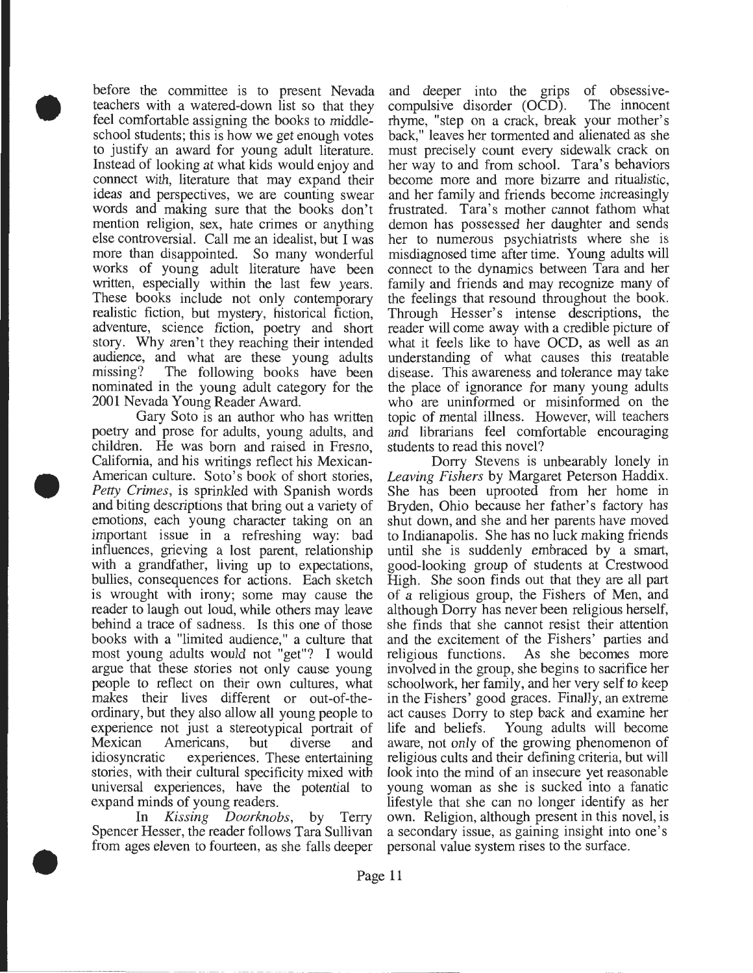• before the committee is to present Nevada teachers with a watered-down list so that they feel comfortable assigning the books to middleschool students; this is how we get enough votes to justify an award for young adult literature. Instead of looking at what kids would enjoy and connect with, literature that may expand their ideas and perspectives, we are counting swear words and making sure that the books don't mention religion, sex, hate crimes or anything else controversial. Call me an idealist, but I was more than disappointed. So many wonderful works of young adult literature have been written, especially within the last few years. These books include not only contemporary realistic fiction, but mystery, historical fiction, adventure, science fiction, poetry and short story. Why aren't they reaching their intended audience, and what are these young adults missing? The following books have been nominated in the young adult category for the 2001 Nevada Young Reader Award.

Gary Soto is an author who has written poetry and prose for adults, young adults, and children. He was born and raised in Fresno, California, and his writings reflect his Mexican-American culture. Soto's book of short stories, *Petty Crimes,* is sprinkled with Spanish words and biting descriptions that bring out a variety of emotions, each young character taking on an important issue in a refreshing way: bad influences, grieving a lost parent, relationship with a grandfather, living up to expectations, bullies, consequences for actions. Each sketch is wrought with irony; some may cause the reader to laugh out loud, while others may leave behind a trace of sadness. Is this one of those books with a "limited audience," a culture that most young adults would not "get"? I would argue that these stories not only cause young people to reflect on their own cultures, what makes their lives different or out-of-theordinary, but they also allow all young people to experience not just a stereotypical portrait of Mexican Americans, but diverse and idiosyncratic experiences. These entertaining stories, with their cultural specificity mixed with universal experiences, have the potential to expand minds of young readers.

•

•

In *Kissing Doorknobs,* by Terry Spencer Hesser, the reader follows Tara Sullivan from ages eleven to fourteen, as she falls deeper

and deeper into the grips of obsessivecompulsive disorder (OCD). The innocent rhyme, "step on a crack, break your mother's back," leaves her tormented and alienated as she must precisely count every sidewalk crack on her way to and from school. Tara's behaviors become more and more bizarre and ritualistic, and her family and friends become increasingly frustrated. Tara's mother cannot fathom what demon has possessed her daughter and sends her to numerous psychiatrists where she is misdiagnosed time after time. Young adults will connect to the dynamics between Tara and her family and friends and may recognize many of the feelings that resound throughout the book. Through Hesser's intense descriptions, the reader will come away with a credible picture of what it feels like to have OCD, as well as an understanding of what causes this treatable disease. This awareness and tolerance may take the place of ignorance for many young adults who are uninformed or misinformed on the topic of mental illness. However, will teachers and librarians feel comfortable encouraging students to read this novel?

Dorry Stevens is unbearably lonely in Leaving Fishers by Margaret Peterson Haddix. She has been uprooted from her home in Bryden, Ohio because her father's factory has shut down, and she and her parents have moved to Indianapolis. She has no luck making friends until she is suddenly embraced by a smart, good-looking group of students at Crestwood High. She soon finds out that they are all part of a religious group, the Fishers of Men, and although Dorry has never been religious herself, she finds that she cannot resist their attention and the excitement of the Fishers' parties and religious functions. As she becomes more involved in the group, she begins to sacrifice her schoolwork, her family, and her very self to keep in the Fishers' good graces. Finally, an extreme act causes Dorry to step back and examine her life and beliefs. Young adults will become aware, not only of the growing phenomenon of religious cults and their defining criteria, but will look into the mind of an insecure yet reasonable young woman as she is sucked into a fanatic lifestyle that she can no longer identify as her own. Religion, although present in this novel, is a secondary issue, as gaining insight into one's personal value system rises to the surface .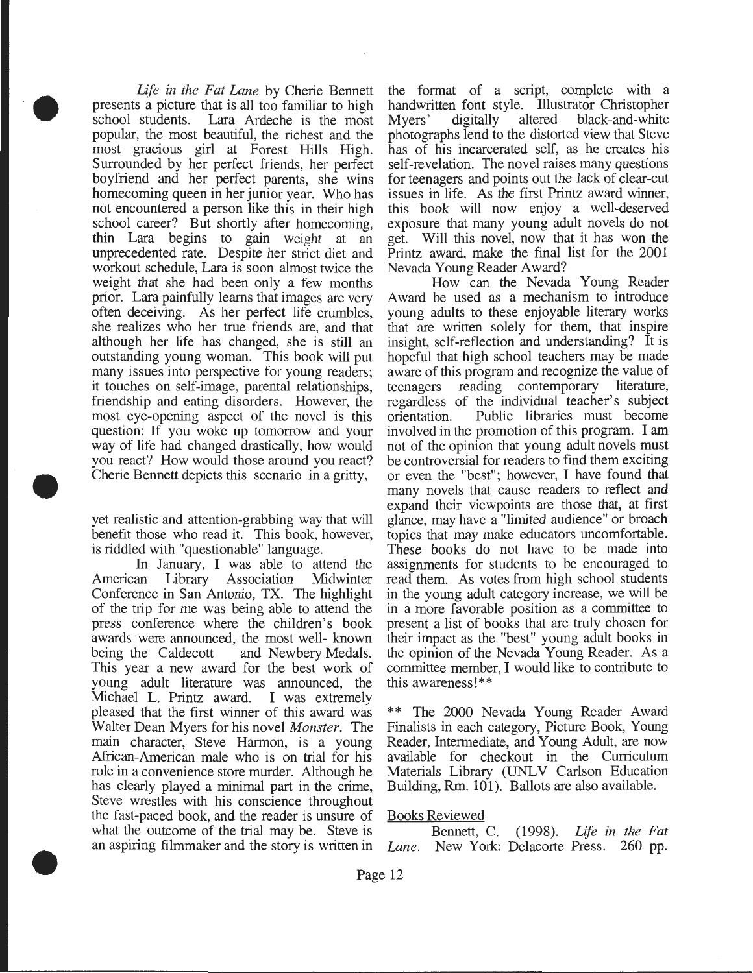*Life in the Fat Lane* by Cherie Bennett presents a picture that is all too familiar to high school students. Lara Ardeche is the most popular, the most beautiful, the richest and the most gracious girl at Forest Hills High. Surrounded by her perfect friends, her perfect boyfriend and her perfect parents, she wins homecoming queen in her junior year. Who has not encountered a person like this in their high school career? But shortly after homecoming, thin Lara begins to gain weight at an unprecedented rate. Despite her strict diet and workout schedule, Lara is soon almost twice the weight that she had been only a few months prior. Lara painfully learns that images are very often deceiving. As her perfect life crumbles, she realizes who her true friends are, and that although her life has changed, she is still an outstanding young woman. This book will put many issues into perspective for young readers; it touches on self-image, parental relationships, friendship and eating disorders. However, the most eye-opening aspect of the novel is this question: If you woke up tomorrow and your way of life had changed drastically, how would you react? How would those around you react? Cherie Bennett depicts this scenario in a gritty,

••

•

•

yet realistic and attention-grabbing way that will benefit those who read it. This book, however, is riddled with "questionable" language.

In January, I was able to attend the American Library Association Midwinter Conference in San Antonio, TX. The highlight of the trip for me was being able to attend the press conference where the children's book awards were announced, the most well- known being the Caldecott and Newbery Medals. This year a new award for the best work of young adult literature was announced, the Michael L. Printz award. I was extremely pleased that the first winner of this award was Walter Dean Myers for his novel *Monster.* The main character, Steve Harmon, is a young African-American male who is on trial for his role in a convenience store murder. Although he has clearly played a minimal part in the crime, Steve wrestles with his conscience throughout the fast-paced book, and the reader is unsure of what the outcome of the trial may be. Steve is an aspiring filmmaker and the story is written in the format of a script, complete with a handwritten font style. Illustrator Christopher<br>Myers' digitally altered black-and-white Myers' digitally altered black-and-white photographs lend to the distorted view that Steve has of his incarcerated self, as he creates his self-revelation. The novel raises many questions for teenagers and points out the lack of clear-cut issues in life. As the first Printz award winner, this book will now enjoy a well-deserved exposure that many young adult novels do not get. Will this novel, now that it has won the Printz award, make the final list for the 2001 Nevada Young Reader Award?

How can the Nevada Young Reader Award be used as a mechanism to introduce young adults to these enjoyable literary works that are written solely for them, that inspire insight, self-reflection and understanding? It is hopeful that high school teachers may be made aware of this program and recognize the value of teenagers reading contemporary literature, regardless of the individual teacher's subject orientation. Public libraries must become involved in the promotion of this program. I am not of the opinion that young adult novels must be controversial for readers to find them exciting or even the "best"; however, I have found that many novels that cause readers to reflect and expand their viewpoints are those that, at first glance, may have a "limited audience" or broach topics that may make educators uncomfortable. These books do not have to be made into assignments for students to be encouraged to read them. As votes from high school students in the young adult category increase, we will be in a more favorable position as a committee to present a list of books that are truly chosen for their impact as the "best" young adult books in the opinion of the Nevada Young Reader. As a committee member, I would like to contribute to this awareness!\*\*

\*\* The 2000 Nevada Young Reader Award Finalists in each category, Picture Book, Young Reader, Intermediate, and Young Adult, are now available for checkout in the Curriculum Materials Library (UNLV Carlson Education Building, Rm. 101). Ballots are also available.

#### Books Reviewed

Bennett, C. (1998). *Life in the Fat Lane.* New York: Delacorte Press. 260 pp.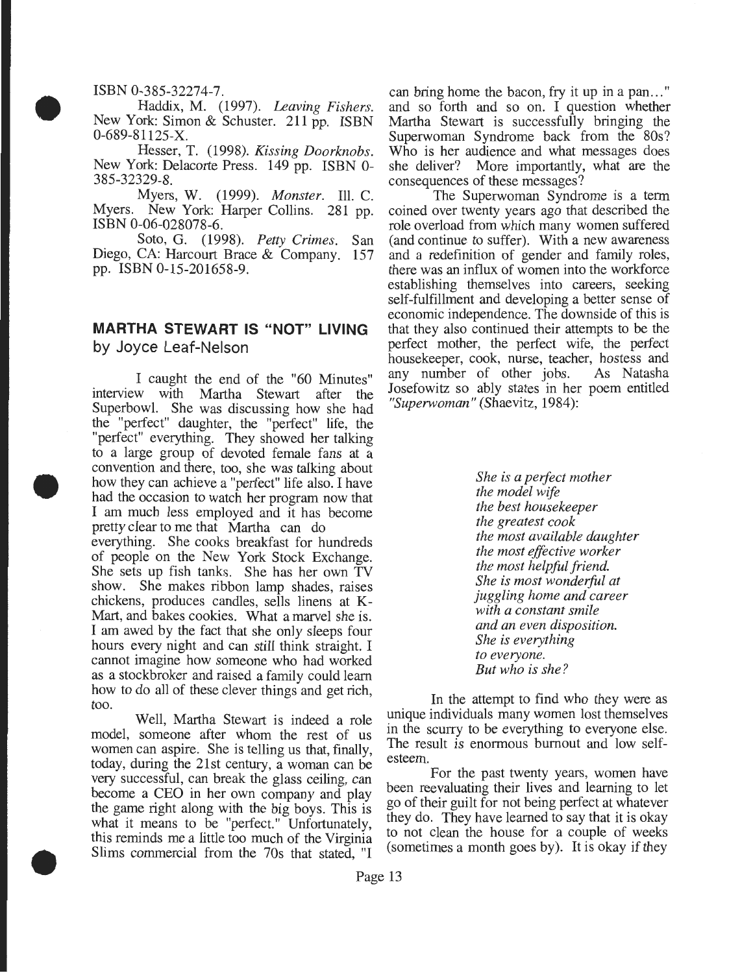#### ISBN 0-385-32274-7.

•

•

•

Haddix, M. (1997). *Leaving Fishers.*  New York: Simon & Schuster. 211 pp. ISBN 0-689-81125-X.

Hesser, T. (1998). *Kissing Doorknobs.*  New York: Delacorte Press. 149 pp. ISBN 0- 385-32329-8.

Myers, W. (1999). *Monster.* Ill. C. Myers. New York: Harper Collins. 281 pp. ISBN 0-06-028078-6.

Soto, G. (1998). *Petty Crimes.* San Diego, CA: Harcourt Brace & Company. 157 pp. ISBN 0-15-201658-9.

## **MARTHA STEWART IS "NOT" LIVING**  by Joyce Leaf-Nelson

I caught the end of the "60 Minutes" interview with Martha Stewart after the Superbowl. She was discussing how she had the "perfect" daughter, the "perfect" life, the "perfect" everything. They showed her talking to a large group of devoted female fans at a convention and there, too, she was talking about how they can achieve a "perfect" life also. I have had the occasion to watch her program now that I am much less employed and it has become pretty clear to me that Martha can do everything. She cooks breakfast for hundreds of people on the New York Stock Exchange. She sets up fish tanks. She has her own TV show. She makes ribbon lamp shades, raises chickens, produces candles, sells linens at K-Mart, and bakes cookies. What a marvel she is. I am awed by the fact that she only sleeps four hours every night and can still think straight. I cannot imagine how someone who had worked as a stockbroker and raised a family could learn how to do all of these clever things and get rich, too.

Well, Martha Stewart is indeed a role model, someone after whom the rest of us women can aspire. She is telling us that, finally, today, during the 21st century, a woman can be very successful, can break the glass ceiling, can become a CEO in her own company and play the game right along with the big boys. This is what it means to be "perfect." Unfortunately, this reminds me a little too much of the Virginia Slims commercial from the 70s that stated, "I can bring home the bacon, fry it up in a pan..." and so forth and so on. I question whether Martha Stewart is successfully bringing the Superwoman Syndrome back from the 80s? Who is her audience and what messages does she deliver? More importantly, what are the consequences of these messages?

The Superwoman Syndrome is a term coined over twenty years ago that described the role overload from which many women suffered (and continue to suffer). With a new awareness and a redefinition of gender and family roles, there was an influx of women into the workforce establishing themselves into careers, seeking self-fulfillment and developing a better sense of economic independence. The downside of this is that they also continued their attempts to be the perfect mother, the perfect wife, the perfect housekeeper, cook, nurse, teacher, hostess and any number of other jobs. As Natasha Josefowitz so ably states in her poem entitled *"Superwoman"* (Shaevitz, 1984):

> *She is a perfect mother the model wife the best housekeeper the greatest cook the most available daughter the most effective worker the most helpful friend. She is most wonderful at juggling home and career with a constant smile and an even disposition. She is everything to everyone. But who is she?*

In the attempt to find who they were as unique individuals many women lost themselves in the scurry to be everything to everyone else. The result is enormous burnout and low selfesteem.

For the past twenty years, women have been reevaluating their lives and learning to let go of their guilt for not being perfect at whatever they do. They have learned to say that it is okay to not clean the house for a couple of weeks (sometimes a month goes by). It is okay if they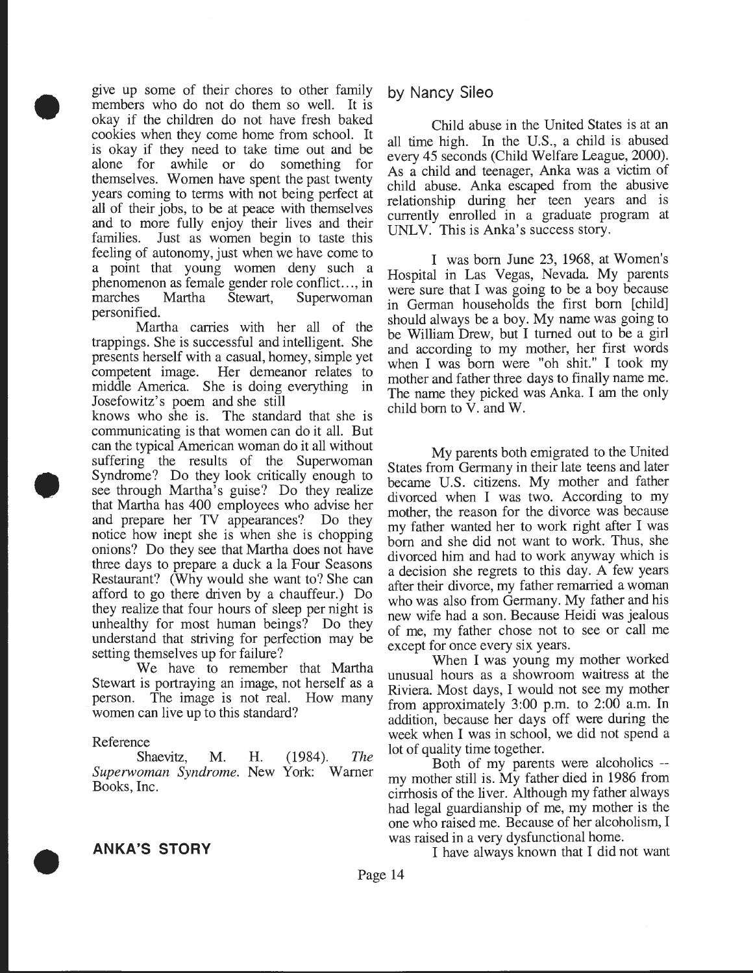give up some of their chores to other family members who do not do them so well. It is okay if the children do not have fresh baked cookies when they come home from school. It is okay if they need to take time out and be alone for awhile or do something for themselves. Women have spent the past twenty years coming to terms with not being perfect at all of their jobs, to be at peace with themselves and to more fully enjoy their lives and their families. Just as women begin to taste this feeling of autonomy, just when we have come to a point that young women deny such a phenomenon as female gender role conflict..., in marches Martha Stewart, Superwoman personified.

Martha carries with her all of the trappings. She is successful and intelligent. She presents herself with a casual, homey, simple yet competent image. Her demeanor relates to middle America. She is doing everything in Josefowitz's poem and she still .

knows who she is. The standard that she is communicating is that women can do it all. But can the typical American woman do it all without suffering the results of the Superwoman Syndrome? Do they look critically enough to see through Martha's guise? Do they realize that Martha has 400 employees who advise her and prepare her TV appearances? Do they notice how inept she is when she is chopping onions? Do they see that Martha does not have three days to prepare a duck ala Four Seasons Restaurant? (Why would she want to? She can afford to go there driven by a chauffeur) D\_o they realize that four hours of sleep per night is unhealthy for most human beings? Do they understand that striving for perfection may be setting themselves up for failure?

We have to remember that Martha Stewart is portraying an image, not herself as a person. The image is not real. How many women can live up to this standard?

#### Reference

•

•

Shaevitz, M. *Superwoman Syndrome.*  New York: Warner Books, Inc. H. (1984). *The* 



## by Nancy Sileo

Child abuse in the United States is at an all time high. In the U.S., a child is abused every 45 seconds (Child Welfare League, 2000). As a child and teenager, Anka was a victim of child abuse. Anka escaped from the abusive relationship during her teen years and is currently enrolled in a graduate program at UNLV. This is Anka's success story.

I was born June 23, 1968, at Women's Hospital in Las Vegas, Nevada. My parents were sure that I was going to be a boy because in German households the first born [child] should always be a boy. My name was going to be William Drew, but I turned out to be a girl and according to my mother, her first words when I was born were "oh shit." I took my mother and father three days to finally name me. The name they picked was Anka. I am the only child born to V. and W.

My parents both emigrated to the United States from Germany in their late teens and later became U.S. citizens. My mother and father divorced when I was two. According to my mother, the reason for the divorce was because my father wanted her to work right after I was born and she did not want to work. Thus, she divorced him and had to work anyway which is a decision she regrets to this day. A few years after their divorce, my father remarried a woman who was also from Germany. My father and his new wife had a son. Because Heidi was jealous of me, my father chose not to see or call me except for once every six years.

When I was young my mother worked unusual hours as a showroom waitress at the Riviera. Most days, I would not see my mother from approximately  $3:00$  p.m. to  $2:00$  a.m. In addition, because her days off were during the week when I was in school, we did not spend a lot of quality time together.

Both of my parents were alcoholics - my mother still is. My father died in 1986 from cirrhosis of the liver. Although my father always had legal guardianship of me, my mother is the one who raised me. Because of her alcoholism, I was raised in a very dysfunctional home.

I have always known that I did not want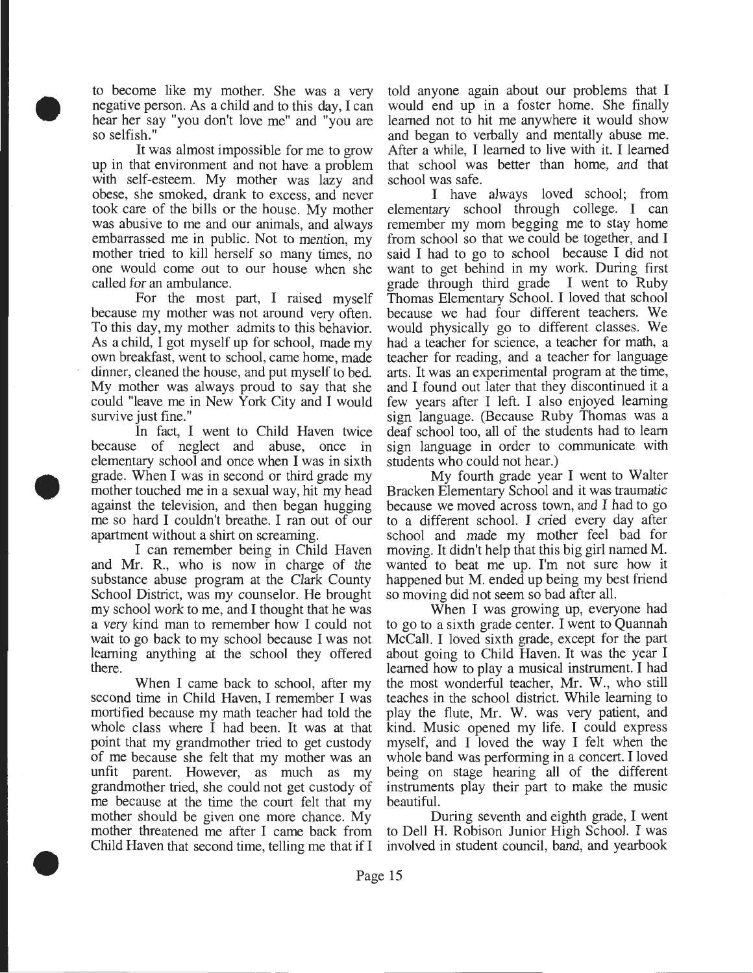to become like my mother. She was a very negative person. As a child and to this day, I can hear her say "you don't love me" and "you are so selfish."

•

•

•

It was almost impossible for me to grow up in that environment and not have a problem with self-esteem. My mother was lazy and obese, she smoked, drank to excess, and never took care of the bills or the house. My mother was abusive to me and our animals, and always embarrassed me in public. Not to mention, my mother tried to kill herself so many times, no one would come out to our house when she called for an ambulance.

For the most part, I raised myself because my mother was not around very often. To this day, my mother admits to this behavior. As a child, I got myself up for school, made my own breakfast, went to school, came home, made dinner, cleaned the house, and put myself to bed. My mother was always proud to say that she could "leave me in New York City and I would survive just fine."

In fact, I went to Child Haven twice because of neglect and abuse, once in elementary school and once when I was in sixth grade. When I was in second or third grade my mother touched me in a sexual way, hit my head against the television, and then began hugging me so hard I couldn't breathe. I ran out of our apartment without a shirt on screaming.

I can remember being in Child Haven and Mr. R., who is now in charge of the substance abuse program at the Clark County School District, was my counselor. He brought my school work to me, and I thought that he was a very kind man to remember how I could not wait to go back to my school because I was not learning anything at the school they offered there.

When I came back to school, after my second time in Child Haven, I remember I was mortified because my math teacher had told the whole class where I had been. It was at that point that my grandmother tried to get custody of me because she felt that my mother was an unfit parent. However, as much as my grandmother tried, she could not get custody of me because at the time the court felt that my mother should be given one more chance. My mother threatened me after I came back from Child Haven that second time, telling me that if I

told anyone again about our problems that I would end up in a foster home. She finally learned not to hit me anywhere it would show and began to verbally and mentally abuse me. After a while, I learned to live with it. I learned that school was better than home, and that school was safe.

I have always loved school; from elementary school through college. I can remember my mom begging me to stay home from school so that we could be together, and I said I had to go to school because I did not want to get behind in my work. During first grade through third grade I went to Ruby Thomas Elementary School. I loved that school because we had four different teachers. We would physically go to different classes. We had a teacher for science, a teacher for math, a teacher for reading, and a teacher for language arts. It was an experimental program at the time, and I found out later that they discontinued it a few years after I left. I also enjoyed learning sign language. (Because Ruby Thomas was a deaf school too, all of the students had to learn sign language in order to communicate with students who could not hear.)

My fourth grade year I went to Walter Bracken Elementary School and it was traumatic because we moved across town, and I had to go to a different school. I cried every day after school and made my mother feel bad for moving. It didn't help that this big girl named M. wanted to beat me up. I'm not sure how it happened but M. ended up being my best friend so moving did not seem so bad after all.

When I was growing up, everyone had to go to a sixth grade center. I went to Quannah McCall. I loved sixth grade, except for the part about going to Child Haven. It was the year I learned how to play a musical instrument. I had the most wonderful teacher, Mr. W., who still teaches in the school district. While learning to play the flute, Mr. W. was very patient, and kind. Music opened my life. I could express myself, and I loved the way I felt when the whole band was performing in a concert. I loved being on stage hearing all of the different instruments play their part to make the music beautiful.

During seventh and eighth grade, I went to Dell H. Robison Junior High School. I was involved in student council, band, and yearbook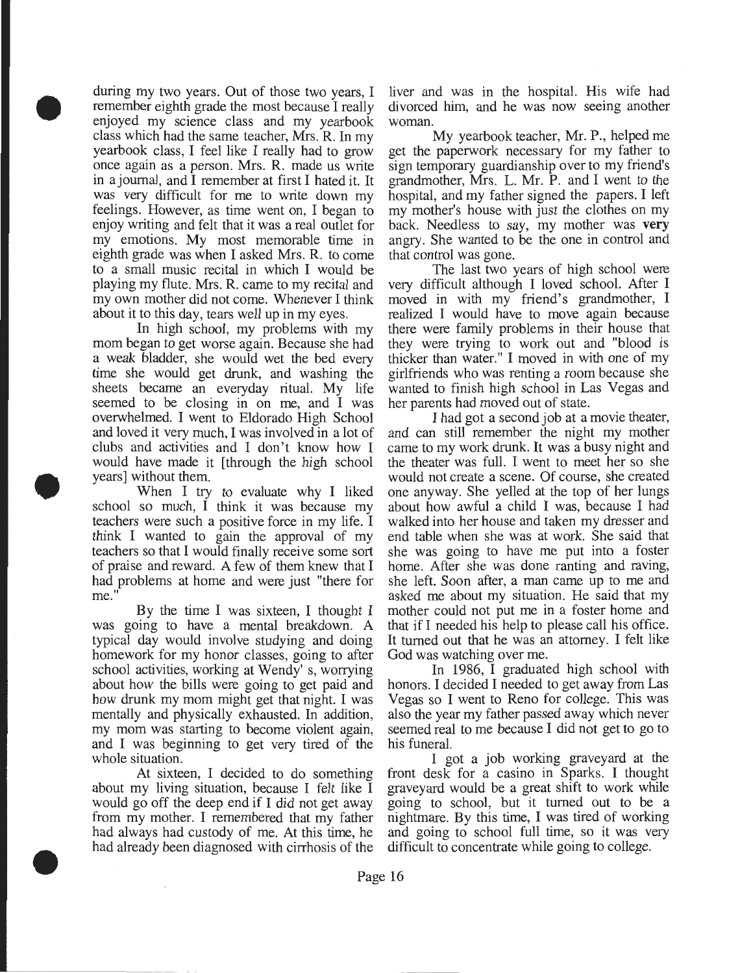during my two years. Out of those two years, I remember eighth grade the most because I really enjoyed my science class and my yearbook class which had the same teacher, Mrs. R. In my yearbook class, I feel like I really had to grow once again as a person. Mrs. R. made us write in a journal, and I remember at first I hated it. It was very difficult for me to write down my feelings. However, as time went on, I began to enjoy writing and felt that it was a real outlet for my emotions. My most memorable time in eighth grade was when I asked Mrs. R. to come to a small music recital in which I would be playing my flute. Mrs. R. came to my recital and my own mother did not come. Whenever I think about it to this day, tears well up in my eyes.

•

•

•

In high school, my problems with my mom began to get worse again. Because she had a weak bladder, she would wet the bed every time she would get drunk, and washing the sheets became an everyday ritual. My life seemed to be closing in on me, and I was overwhelmed. I went to Eldorado High School and loved it very much, I was involved in a lot of clubs and activities and I don't know how I would have made it [through the high school years] without them .

When I try to evaluate why I liked school so much, I think it was because my teachers were such a positive force in my life. I think I wanted to gain the approval of my teachers so that I would finally receive some sort of praise and reward. A few of them knew that I had problems at home and were just "there for me."

By the time I was sixteen, I thought I was going to have a mental breakdown. A typical day would involve studying and doing homework for my honor classes, going to after school activities, working at Wendy' s, worrying about how the bills were going to get paid and how drunk my mom might get that night. I was mentally and physically exhausted. In addition, my mom was starting to become violent again, and I was beginning to get very tired of the whole situation.

At sixteen, I decided to do something about my living situation, because I felt like I would go off the deep end if I did not get away from my mother. I remembered that my father had always had custody of me. At this time, he had already been diagnosed with cirrhosis of the liver and was in the hospital. His wife had divorced him, and he was now seeing another woman.

My yearbook teacher, Mr. P., helped me get the paperwork necessary for my father to sign temporary guardianship over to my friend's grandmother, Mrs. L. Mr. P. and I went to the hospital, and my father signed the papers. I left my mother's house with just the clothes on my back. Needless to say, my mother was **very**  angry. She wanted to be the one in control and that control was gone.

The last two years of high school were very difficult although I loved school. After I moved in with my friend's grandmother, I realized I would have to move again because there were family problems in their house that they were trying to work out and "blood is thicker than water." I moved in with one of my girlfriends who was renting a room because she wanted to finish high school in Las Vegas and her parents had moved out of state.

I had got a second job at a movie theater, and can still remember the night my mother came to my work drunk. It was a busy night and the theater was full. I went to meet her so she would not create a scene. Of course, she created one anyway. She yelled at the top of her lungs about how awful a child I was, because I had walked into her house and taken my dresser and end table when she was at work. She said that she was going to have me put into a foster home. After she was done ranting and raving, she left. Soon after, a man came up to me and asked me about my situation. He said that my mother could not put me in a foster home and that if I needed his help to please call his office. It turned out that he was an attorney. I felt like God was watching over me.

In 1986, I graduated high school with honors. I decided I needed to get away from Las Vegas so I went to Reno for college. This was also the year my father passed away which never seemed real to me because I did not get to go to his funeral.

I got a job working graveyard at the front desk for a casino in Sparks. I thought graveyard would be a great shift to work while going to school, but it turned out to be a nightmare. By this time, I was tired of working and going to school full time, so it was very difficult to concentrate while going to college.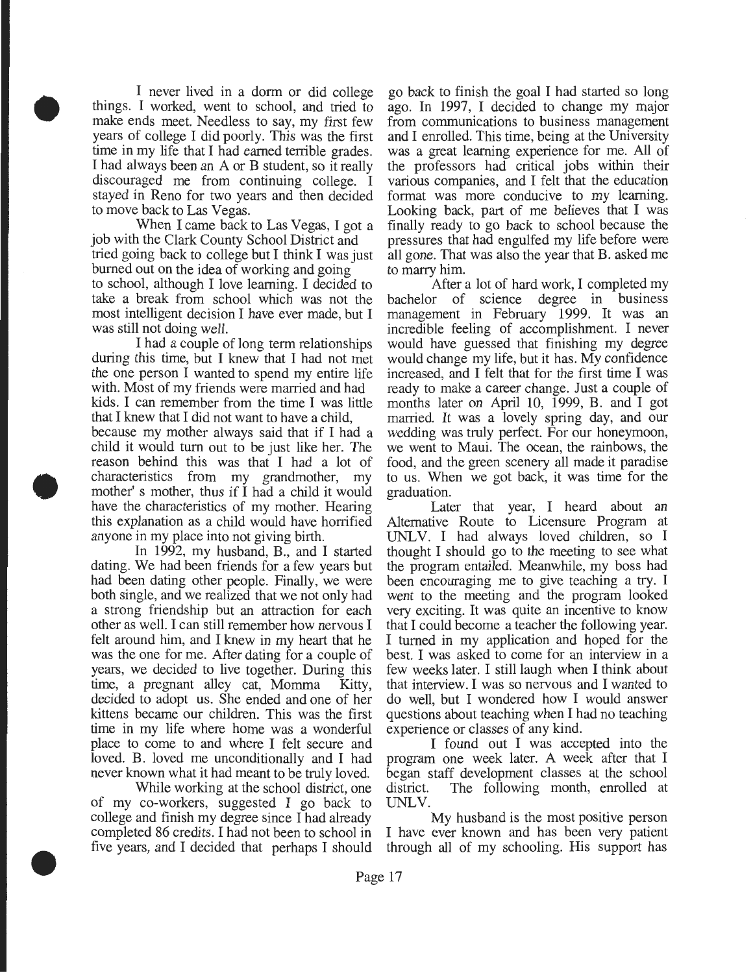I never lived in a dorm or did college things. I worked, went to school, and tried to make ends meet. Needless to say, my first few years of college I did poorly. This was the first time in my life that I had earned terrible grades. I had always been an A or B student, so it really discouraged me from continuing college. I stayed in Reno for two years and then decided to move back to Las Vegas.

•

•

•

When I came back to Las Vegas, I got a job with the Clark County School District and tried going back to college but I think I was just burned out on the idea of working and going to school, although I love learning. I decided to take a break from school which was not the most intelligent decision I have ever made, but I was still not doing well.

I had a couple of long term relationships during this time, but I knew that I had not met the one person I wanted to spend my entire life with. Most of my friends were married and had kids. I can remember from the time I was little that I knew that I did not want to have a child,

because my mother always said that if I had a child it would tum out to be just like her. The reason behind this was that I had a lot of characteristics from my grandmother, my mother' s mother, thus if I had a child it would have the characteristics of my mother. Hearing this explanation as a child would have horrified anyone in my place into not giving birth.

In 1992, my husband, B., and I started dating. We had been friends for a few years but had been dating other people. Finally, we were both single, and we realized that we not only had a strong friendship but an attraction for each other as well. I can still remember how nervous I felt around him, and I knew in my heart that he was the one for me. After dating for a couple of years, we decided to live together. During this time, a pregnant alley cat, Momma Kitty, decided to adopt us. She ended and one of her kittens became our children. This was the first time in my life where home was a wonderful place to come to and where I felt secure and loved. B. loved me unconditionally and I had never known what it had meant to be truly loved.

While working at the school district, one of my co-workers, suggested I go back to college and finish my degree since I had already completed 86 credits. I had not been to school in five years, and I decided that perhaps I should go back to finish the goal I had started so long ago. In 1997, I decided to change my major from communications to business management and I enrolled. This time, being at the University was a great learning experience for me. All of the professors had critical jobs within their various companies, and I felt that the education format was more conducive to my learning. Looking back, part of me believes that I was finally ready to go back to school because the pressures that had engulfed my life before were all gone. That was also the year that B. asked me to marry him.

After a lot of hard work, I completed my bachelor of science degree in business management in February 1999. It was an incredible feeling of accomplishment. I never would have guessed that finishing my degree would change my life, but it has. My confidence increased, and I felt that for the first time I was ready to make a career change. Just a couple of months later on April 10, 1999, B. and I got married. It was a lovely spring day, and our wedding was truly perfect. For our honeymoon, we went to Maui. The ocean, the rainbows, the food, and the green scenery all made it paradise to us. When we got back, it was time for the graduation.

Later that year, I heard about an Alternative Route to Licensure Program at UNL V. I had always loved children, so I thought I should go to the meeting to see what the program entailed. Meanwhile, my boss had been encouraging me to give teaching a try. I went to the meeting and the program looked very exciting. It was quite an incentive to know that I could become a teacher the following year. I turned in my application and hoped for the best. I was asked to come for an interview in a few weeks later. I still laugh when I think about that interview. I was so nervous and I wanted to do well, but I wondered how I would answer questions about teaching when I had no teaching experience or classes of any kind.

I found out I was accepted into the program one week later. A week after that I began staff development classes at the school district. The following month, enrolled at UNLV.

My husband is the most positive person I have ever known and has been very patient through all of my schooling. His support has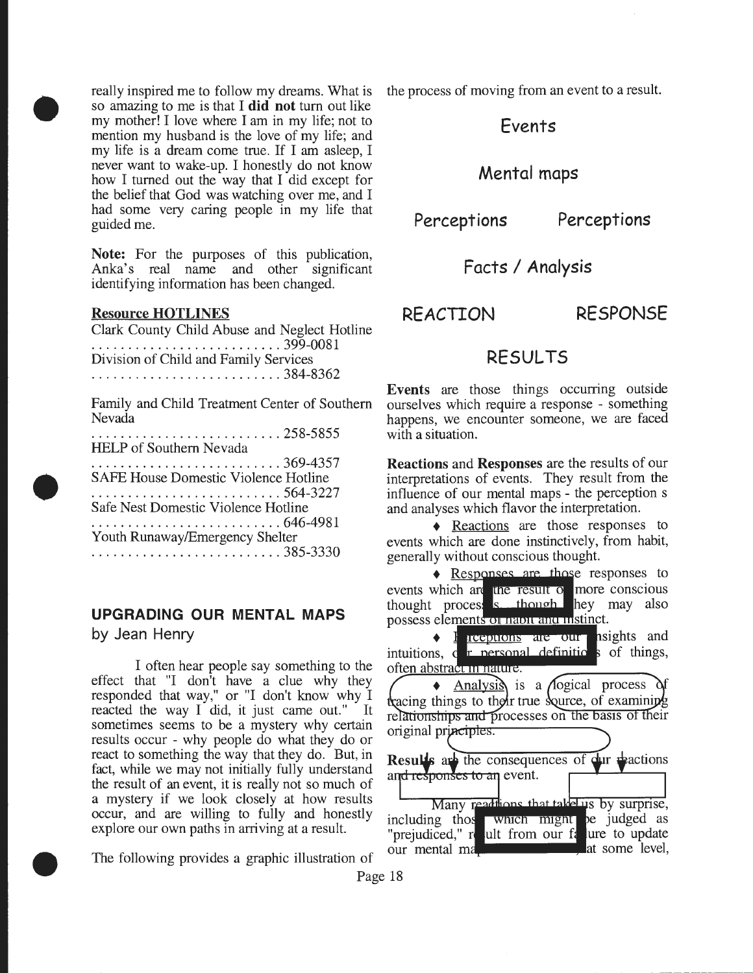really inspired me to follow my dreams. What is so amazing to me is that I did not tum out like my mother! I love where I am in my life; not to mention my husband is the love of my life; and my life is a dream come true. If I am asleep, I never want to wake-up. I honestly do not know how I turned out the way that I did except for the belief that God was watching over me, and I had some very caring people in my life that guided me.

Note: For the purposes of this publication, Anka's real name and other significant identifying information has been changed.

### Resource HOTLINES

•

•

•

Clark County Child Abuse and Neglect Hotline .......................... 399-0081 Division of Child and Family Services .......................... 384-8362

Family and Child Treatment Center of Southern Nevada  $258.5855$ 

| . 4. JOT.JO.J.J<br><b>HELP</b> of Southern Nevada |  |
|---------------------------------------------------|--|
|                                                   |  |
| <b>SAFE House Domestic Violence Hotline</b>       |  |
|                                                   |  |
| Safe Nest Domestic Violence Hotline               |  |
|                                                   |  |
| Youth Runaway/Emergency Shelter                   |  |
|                                                   |  |

## **UPGRADING OUR MENTAL MAPS**  by Jean Henry

I often hear people say something to the effect that "I don't have a clue why they responded that way," or "I don't know why I reacted the way I did, it just came out." It sometimes seems to be a mystery why certain results occur - why people do what they do or react to something the way that they do. But, in react to something the way that they do. But, in<br>fact, while we may not initially fully understand and responses to an event. the result of an event, it is really not so much of a mystery if we look closely at how results occur, and are willing to fully and honestly explore our own paths in arriving at a result.

The following provides a graphic illustration of

the process of moving from an event to a result.

# Events

## Mental maps

Perceptions Perceptions

Facts / Analysis

REACTION RESPONSE

# RESULTS

Events are those things occurring outside ourselves which require a response - something happens, we encounter someone, we are faced with a situation.

Reactions and Responses are the results of our interpretations of events. They result from the influence of our mental maps - the perception s and analyses which flavor the interpretation.

+ Reactions are those responses to events which are done instinctively, from habit, generally without conscious thought.

• Responses are those responses to events which are the result of more conscious thought proces, strategies thought hey may also possess elements or nabit and instinct.

**requirering are our psights and** intuitions, c r personal definitios of things, often abstract in nature.

 $\triangle$  Analysis is a *A*logical process tracing things to their true source, of examining relationships and processes on the basis of their original principles.

an event.<br>addions that takel us by surprise,<br>which might be judged as "prejudiced," re ult from our fallure to update our mental ma **at some level,** 

Page 18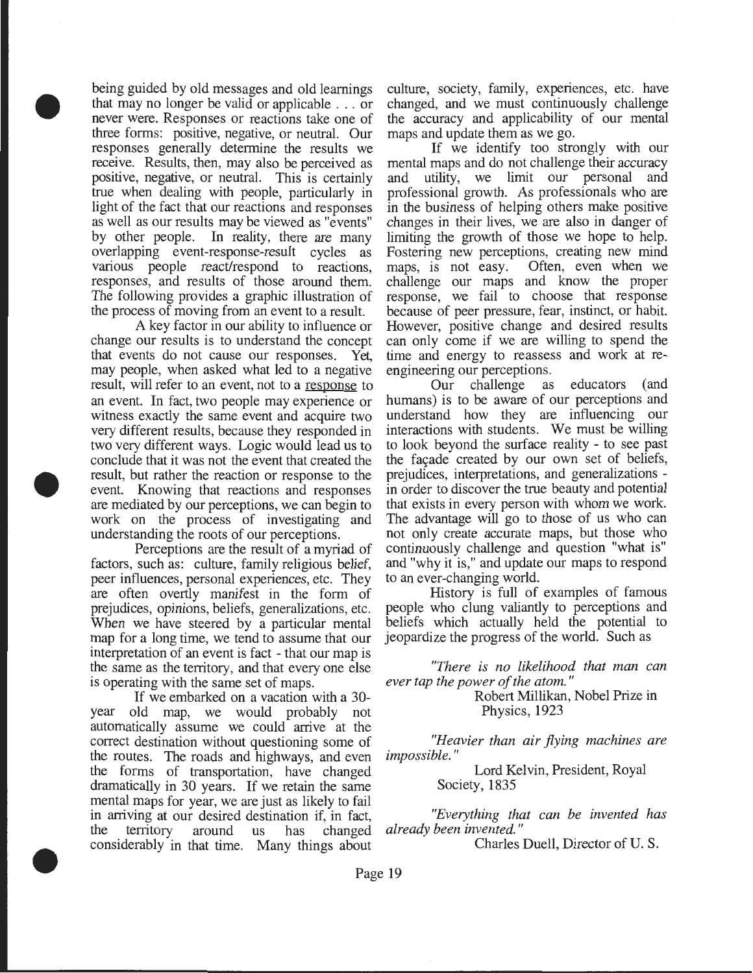being guided by old messages and old learnings that may no longer be valid or applicable . . . or never were. Responses or reactions take one of three forms: positive, negative, or neutral. Our responses generally determine the results we receive. Results, then, may also be perceived as positive, negative, or neutral. This is certainly true when dealing with people, particularly in light of the fact that our reactions and responses as well as our results may be viewed as "events" by other people. In reality, there are many overlapping event-response-result cycles as various people react/respond to reactions, responses, and results of those around them. The following provides a graphic illustration of the process of moving from an event to a result.

•

•

•

A key factor in our ability to influence or change our results is to understand the concept that events do not cause our responses. Yet, may people, when asked what led to a negative result, will refer to an event, not to a response to an event. In fact, two people may experience or witness exactly the same event and acquire two very different results, because they responded in two very different ways. Logic would lead us to conclude that it was not the event that created the result, but rather the reaction or response to the event. Knowing that reactions and responses are mediated by our perceptions, we can begin to work on the process of investigating and understanding the roots of our perceptions.

Perceptions are the result of a myriad of factors, such as: culture, family religious belief, peer influences, personal experiences, etc. They are often overtly manifest in the form of prejudices, opinions, beliefs, generalizations, etc. When we have steered by a particular mental map for a long time, we tend to assume that our interpretation of an event is fact - that our map is the same as the territory, and that every one else is operating with the same set of maps.

If we embarked on a vacation with a 30 year old map, we would probably not automatically assume we could arrive at the correct destination without questioning some of the routes. The roads and highways, and even the forms of transportation, have changed dramatically in 30 years. If we retain the same mental maps for year, we are just as likely to fail in arriving at our desired destination if, in fact, the territory around us has changed considerably in that time. Many things about

culture, society, family, experiences, etc. have changed, and we must continuously challenge the accuracy and applicability of our mental maps and update them as we go.

If we identify too strongly with our mental maps and do not challenge their accuracy and utility, we limit our personal and professional growth. As professionals who are in the business of helping others make positive changes in their lives, we are also in danger of limiting the growth of those we hope to help. Fostering new perceptions, creating new mind maps, is not easy. Often, even when we challenge our maps and know the proper response, we fail to choose that response because of peer pressure, fear, instinct, or habit. However, positive change and desired results can only come if we are willing to spend the time and energy to reassess and work at reengineering our perceptions.

Our challenge as educators (and humans) is to be aware of our perceptions and understand how they are influencing our interactions with students. We must be willing to look beyond the surface reality - to see past the façade created by our own set of beliefs, prejudices, interpretations, and generalizations in order to discover the true beauty and potential that exists in every person with whom we work. The advantage will go to those of us who can not only create accurate maps, but those who continuously challenge and question "what is" and "why it is," and update our maps to respond to an ever-changing world.

History is full of examples of famous people who clung valiantly to perceptions and beliefs which actually held the potential to jeopardize the progress of the world. Such as

*"There is no likelihood that man can ever tap the power of the atom.* "

> Robert Millikan, Nobel Prize in Physics, 1923

*"Heavier than air flying machines are impossible.* "

> Lord Kelvin, President, Royal Society, 1835

*"Everything that can be invented has already been invented.* "

Charles Duell, Director of U.S.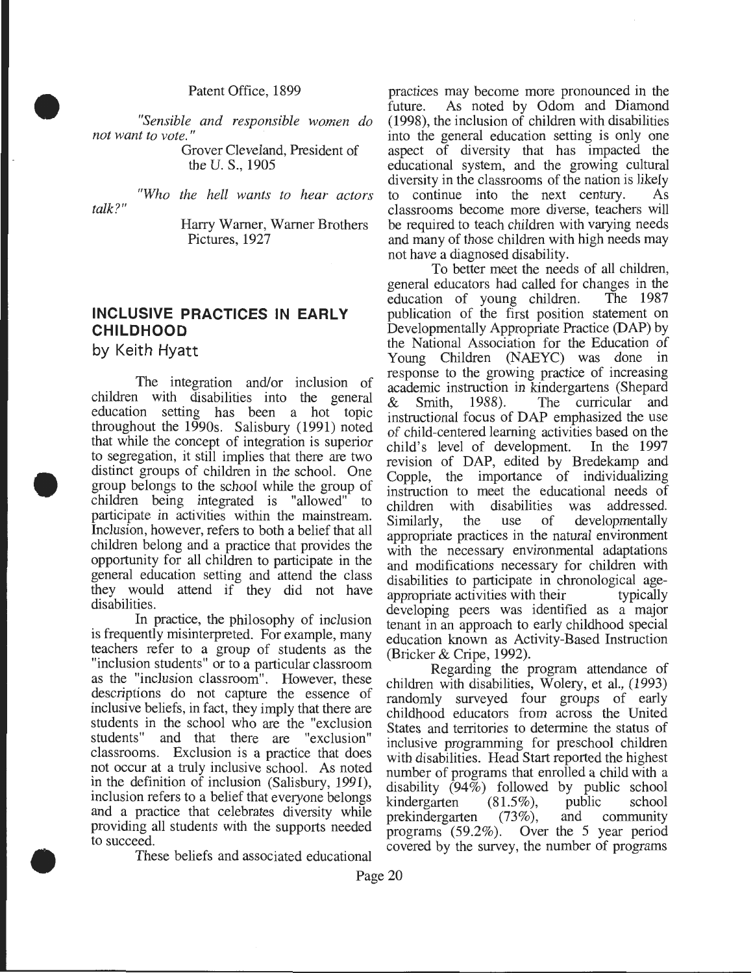Patent Office, 1899

• *"Sensible and responsible women do not want to vote."* 

Grover Cleveland, President of the U. S., 1905

*"Who the hell wants to hear actors talk?"* 

> Harry Warner, Warner Brothers Pictures, 1927

## **INCLUSIVE PRACTICES IN EARLY CHILDHOOD**

by Keith Hyatt

•

•

The integration and/or inclusion of children with disabilities into the general education setting has been a hot topic throughout the 1990s. Salisbury (1991) noted that while the concept of integration is superior to segregation, it still implies that there are two distinct groups of children in the school. One group belongs to the school while the group of children being integrated is "allowed" to participate in activities within the mainstream. Inclusion, however, refers to both a belief that all children belong and a practice that provides the opportunity for all children to participate in the general education setting and attend the class they would attend if they did not have disabilities.

In practice, the philosophy of inclusion is frequently misinterpreted. For example, many teachers refer to a group of students as the "inclusion students" or to a particular classroom as the "inclusion classroom". However, these descriptions do not capture the essence of inclusive beliefs, in fact, they imply that there are students in the school who are the "exclusion"<br>students" and that there are "exclusion" and that there are "exclusion" classrooms. Exclusion is a practice that does not occur at a truly inclusive school. As noted in the definition of inclusion (Salisbury, 1991), inclusion refers to a belief that everyone belongs and a practice that celebrates diversity while providing all students with the supports needed to succeed.

These beliefs and associated educational

practices may become more pronounced in the future. As noted by Odom and Diamond (1998), the inclusion of children with disabilities into the general education setting is only one aspect of diversity that has impacted the educational system, and the growing cultural diversity in the classrooms of the nation is likely to continue into the next century. As classrooms become more diverse, teachers will be required to teach children with varying needs and many of those children with high needs may not have a diagnosed disability.

To better meet the needs of all children, general educators had called for changes in the education of young children. The 1987 education of young children. publication of the first position statement on Developmentally Appropriate Practice (DAP) by the National Association for the Education of Young Children (NAEYC) was done in response to the growing practice of increasing academic instruction in kindergartens (Shepard & Smith, 1988). The curricular and instructional focus of DAP emphasized the use of child-centered learning activities based on the child's level of development. In the 1997 revision of DAP, edited by Bredekamp and Copple, the importance of individualizing instruction to meet the educational needs of children with disabilities was addressed. children with disabilities<br>Similarly, the use of Similarly, the use of developmentally appropriate practices in the natural environment with the necessary environmental adaptations and modifications necessary for children with disabilities to participate in chronological ageappropriate activities with their typically developing peers was identified as a major tenant in an approach to early childhood special education known as Activity-Based Instruction (Bricker & Cripe, 1992).

Regarding the program attendance of children with disabilities, Wolery, et al., (1993) randomly surveyed four groups of early childhood educators from across the Umted States and territories to determine the status of inclusive programming for preschool children with disabilities. Head Start reported the highest number of programs that enrolled a child with a disability  $(94\%)$  followed by public school kindergarten  $(81.5\%)$ , public school<br>prekindergarten  $(73\%)$ , and community prekindergarten  $(73\%)$ , and programs (59.2%). Over the 5 year penod covered by the survey, the number of programs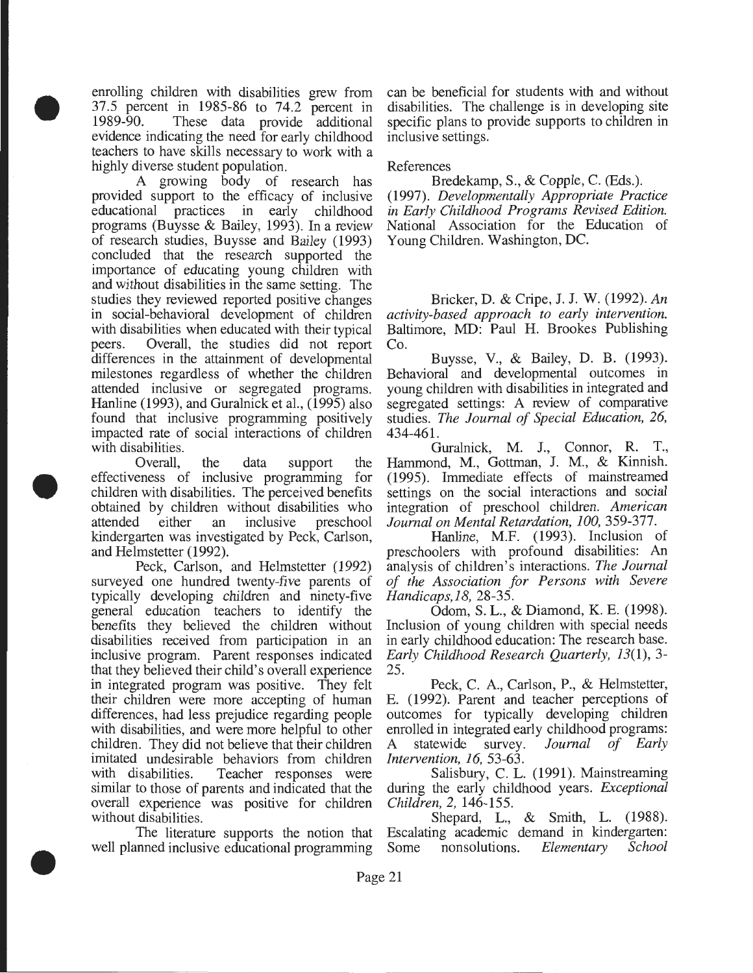enrolling children with disabilities grew from 37.5 percent in 1985-86 to 74.2 percent in 1989-90. These data provide additional These data provide additional evidence indicating the need for early childhood teachers to have skills necessary to work with a highly diverse student population.

•

•

•

A growing body of research has provided support to the efficacy of inclusive educational practices in early childhood programs (Buysse & Bailey, 1993). In a review of research studies, Buysse and Bailey (1993) concluded that the research supported the importance of educating young children with and without disabilities in the same setting. The studies they reviewed reported positive changes in social-behavioral development of children with disabilities when educated with their typical peers. Overall, the studies did not report differences in the attainment of developmental milestones regardless of whether the children attended inclusive or segregated programs. Hanline (1993), and Guralnick et al., (1995) also found that inclusive programming positively impacted rate of social interactions of children with disabilities.

Overall, the data support the effectiveness of inclusive programming for children with disabilities. The perceived benefits obtained by children without disabilities who attended either an inclusive preschool kindergarten was investigated by Peck, Carlson, and Helmstetter (1992).

Peck, Carlson, and Helmstetter (1992) surveyed one hundred twenty-five parents of typically developing children and ninety-five general education teachers to identify the benefits they believed the children without disabilities received from participation in an inclusive program. Parent responses indicated that they believed their child's overall experience in integrated program was positive. They felt their children were more accepting of human differences, had less prejudice regarding people with disabilities, and were more helpful to other children. They did not believe that their children imitated undesirable behaviors from children with disabilities. Teacher responses were similar to those of parents and indicated that the overall experience was positive for children without disabilities.

The literature supports the notion that well planned inclusive educational programming can be beneficial for students with and without disabilities. The challenge is in developing site specific plans to provide supports to children in inclusive settings.

### References

Bredekamp, S., & Copple, C. (Eds.). (1997). *Developmentally Appropriate Practice in Early Childhood Programs Revised Edition.*  National Association for the Education of Young Children. Washington, DC.

Bricker, D. & Cripe, J. J. W. (1992). *An activity-based approach to early intervention.*  Baltimore, MD: Paul H. Brookes Publishing Co.

Buysse, V., & Bailey, D. B. (1993). Behavioral and developmental outcomes in young children with disabilities in integrated and segregated settings: A review of comparative studies. *The Journal of Special Education, 26,*  434-461.

Guralnick, M. J., Connor, R. T., Hammond, M., Gottman, J. M., & Kinnish. (1995). Immediate effects of mainstreamed settings on the social interactions and social integration of preschool children. *American Journal on Mental Retardation, 100,* 359-377.

Hanline, M.F. (1993). Inclusion of preschoolers with profound disabilities: An analysis of children's interactions. *The Journal of the Association for Persons with Severe Handicaps,18,* 28-35.

Odom, S. L., & Diamond, K. E. (1998). Inclusion of young children with special needs in early childhood education: The research base. *Early Childhood Research Quarterly,* 13(1), 3- 25.

Peck, C. A, Carlson, P., & Helmstetter, E. (1992). Parent and teacher perceptions of outcomes for typically developing children enrolled in integrated early childhood programs: A statewide survey. *Journal of Early Intervention, 16,* 53-63.

Salisbury, C. L. (1991). Mainstreaming during the early childhood years. *Exceptional Children, 2,* 146-155.

Shepard, L., & Smith, L. (1988). Escalating academic demand in kindergarten: Some nonsolutions. *Elementary School*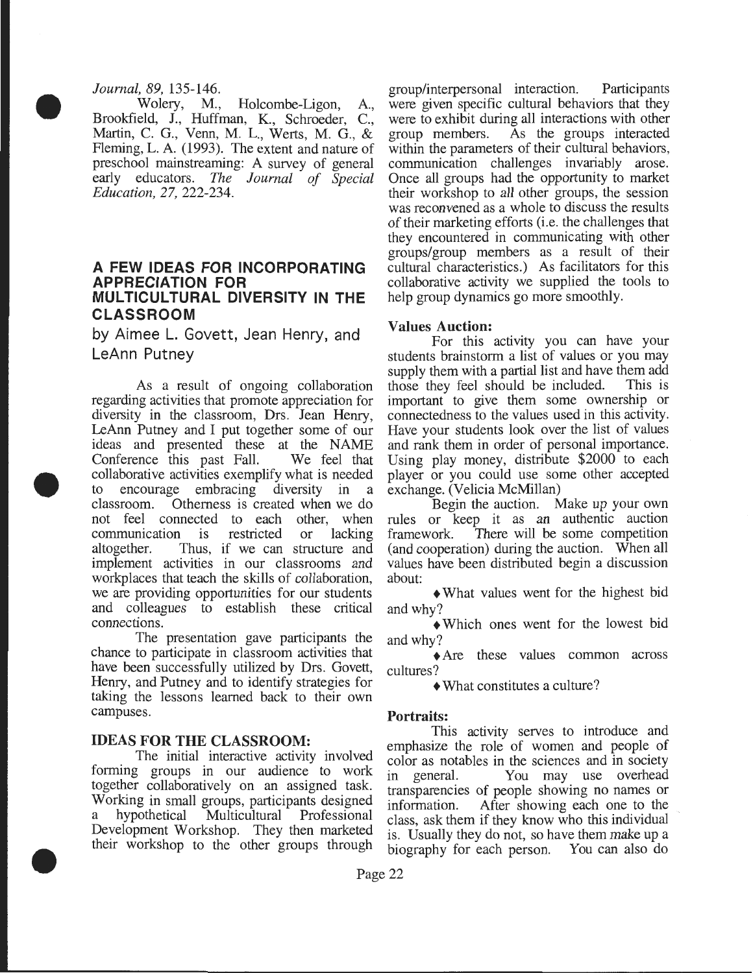#### *Journal, 89,* 135-146 .

•

•

• Wolery, M., Holcombe-Ligon, A., Brookfield, J., Huffman, K., Schroeder, C., Martin, C. G., Venn, M. L., Werts, M. G., & Fleming, L.A. (1993). The extent and nature of preschool mainstreaming: A survey of general early educators. *The Journal of Special Education,* 27, 222-234.

## **A FEW IDEAS FOR INCORPORATING APPRECIATION FOR MULTICULTURAL DIVERSITY IN THE CLASSROOM**

by Aimee L. Govett, Jean Henry, and LeAnn Putney

As a result of ongoing collaboration regarding activities that promote appreciation for diversity in the classroom, Drs. Jean Henry, LeAnn Putney and I put together some of our ideas and presented these at the NAME Conference this past Fall. We feel that collaborative activities exemplify what is needed to encourage embracing diversity in a classroom. Otherness is created when we do not feel connected to each other, when communication is restricted or lacking altogether. Thus, if we can structure and implement activities in our classrooms and workplaces that teach the skills of collaboration, we are providing opportunities for our students and colleagues to establish these critical connections.

The presentation gave participants the chance to participate in classroom activities that have been successfully utilized by Drs. Govett, Henry, and Putney and to identify strategies for taking the lessons learned back to their own campuses.

#### IDEAS FOR THE CLASSROOM:

The initial interactive activity involved forming groups in our audience to work together collaboratively on an assigned task. Working in small groups, participants designed a hypothetical Multicultural Professional Development Workshop. They then marketed their workshop to the other groups through group/interpersonal interaction. Participants were given specific cultural behaviors that they were to exhibit during all interactions with other<br>group members. As the groups interacted As the groups interacted. within the parameters of their cultural behaviors, communication challenges invariably arose. Once all groups had the opportunity to market their workshop to all other groups, the session was reconvened as a whole to discuss the results of their marketing efforts (i.e. the challenges that they encountered in communicating with other groups/group members as a result of their cultural characteristics.) As facilitators for this collaborative activity we supplied the tools to help group dynamics go more smoothly.

### Values Auction:

For this activity you can have your students brainstorm a list of values or you may supply them with a partial list and have them add<br>those they feel should be included. This is those they feel should be included. important to give them some ownership or connectedness to the values used in this activity. Have your students look over the list of values and rank them in order of personal importance. Using play money, distribute \$2000 to each player or you could use some other accepted exchange. (Velicia McMillan)

Begin the auction. Make up your own rules or keep it as an authentic auction framework. There will be some competition (and cooperation) during the auction. When all values have been distributed begin a discussion about:

+What values went for the highest bid and why?

+Which ones went for the lowest bid and why?

+Are these values common across cultures?

+What constitutes a culture?

## Portraits:

This activity serves to introduce and emphasize the role of women and people of color as notables in the sciences and in society in general. You may use overhead transparencies of people showing no names or information. After showing each one to the class, ask them if they know who this individual is. Usually they do not, so have them make up a biography for each person. You can also do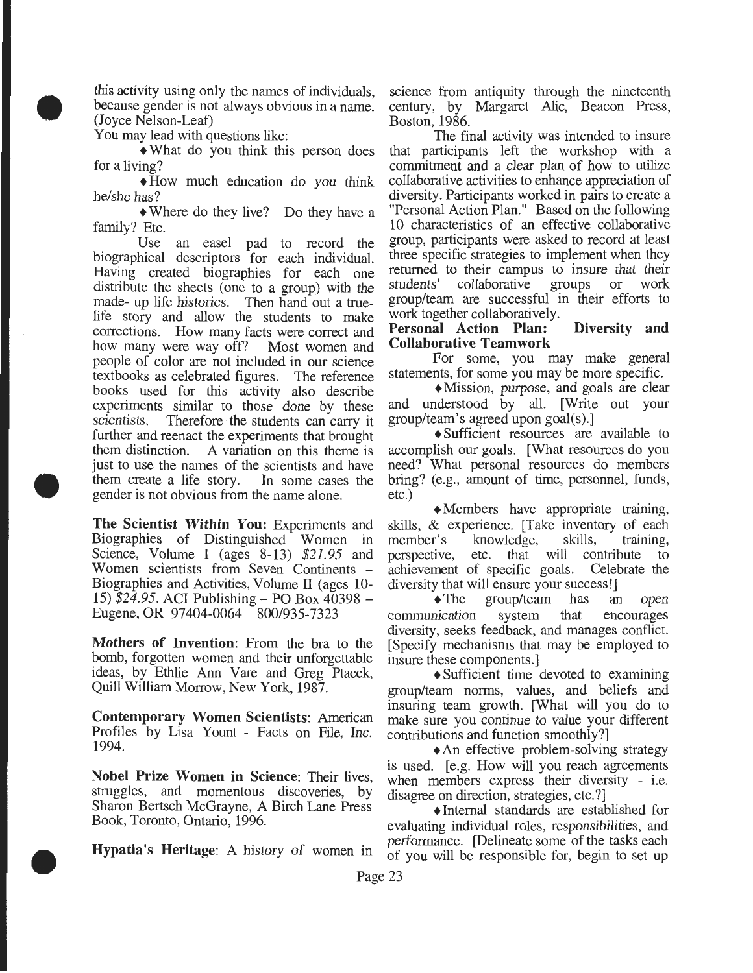this activity using only the names of individuals, because gender is not always obvious in a name. (Joyce Nelson-Leaf)

You may lead with questions like:

•

•

•

+What do you think this person does for a living?

 $\triangle$ How much education do you think he/she has?

• Where do they live? Do they have a family? Etc.

Use an easel pad to record the biographical descriptors for each individual. Having created biographies for each one distribute the sheets (one to a group) with the made- up life histories. Then hand out a truelife story and allow the students to make corrections. How many facts were correct and how many were way off? Most women and people of color are not included in our science textbooks as celebrated figures. The reference books used for this activity also describe experiments similar to those done by these scientists. Therefore the students can carry it further and reenact the experiments that brought them distinction. A variation on this theme is just to use the names of the scientists and have them create a life story. In some cases the gender is not obvious from the name alone.

**The Scientist Within You:** Experiments and Biographies of Distinguished Women in Science, Volume I (ages 8-13) *\$21.95* and Women scientists from Seven Continents – Biographies and Activities, Volume II (ages 10- 15) *\$24.95.* ACI Publishing- PO Box 40398 - Eugene, OR 97404-0064 800/935-7323

**Mothers of Invention:** From the bra to the bomb, forgotten women and their unforgettable ideas, by Ethlie Ann Vare and Greg Ptacek, Quill William Morrow, New York, 1987.

**Contemporary Women Scientists:** American Profiles by Lisa Yount - Facts on File, Inc. 1994.

**Nobel Prize Women in Science:** Their lives, struggles, and momentous discoveries, by Sharon Bertsch McGrayne, A Birch Lane Press Book, Toronto, Ontario, 1996.

science from antiquity through the nineteenth century, by Margaret Alic, Beacon Press, Boston, 1986.

The final activity was intended to insure that participants left the workshop with a commitment and a clear plan of how to utilize collaborative activities to enhance appreciation of diversity. Participants worked in pairs to create a "Personal Action Plan." Based on the following 10 characteristics of an effective collaborative group, participants were asked to record at least three specific strategies to implement when they returned to their campus to insure that their<br>students' collaborative groups or work students' collaborative group/team are successful in their efforts to work together collaboratively.

## **Personal Action Plan: Diversity and Collaborative Teamwork**

For some, you may make general statements, for some you may be more specific.

+Mission, purpose, and goals are clear and understood by all. [Write out your group/team's agreed upon goal(s).]

+Sufficient resources are available to accomplish our goals. [What resources do you need? What personal resources do members bring? (e.g., amount of time, personnel, funds, etc.)

 $\triangle$ Members have appropriate training, skills, & experience. [Take inventory of each member's knowledge, skills, training, knowledge, perspective, etc. that will contribute to achievement of specific goals. Celebrate the diversity that will ensure your success!]

•The group/team has an open communication system that encourages diversity, seeks feedback, and manages conflict. [Specify mechanisms that may be employed to insure these components.]

+Sufficient time devoted to examining group/team norms, values, and beliefs and insuring team growth. [What will you do to make sure you continue to value your different contributions and function smoothly?]

• An effective problem-solving strategy is used. [e.g. How will you reach agreements when members express their diversity - i.e. disagree on direction, strategies, etc.?]

+Internal standards are established for evaluating individual roles, responsibilities, and performance. [Delineate some of the tasks each **Hypatia's Heritage:** A history of women in of you will be responsible for, begin to set up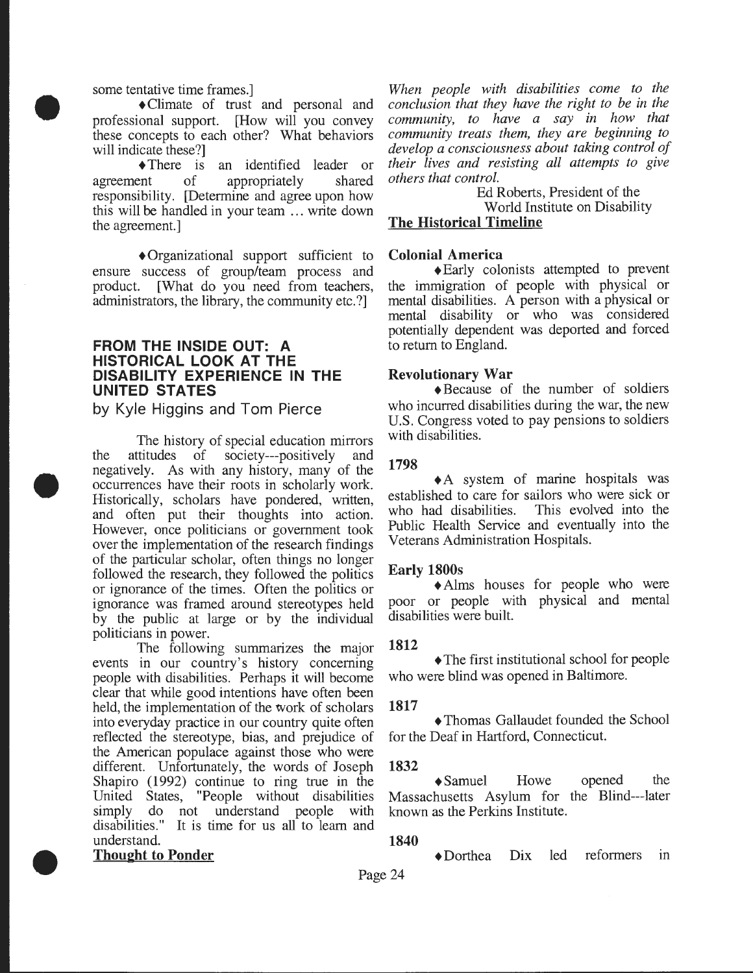some tentative time frames.]

•

•

•

+Climate of trust and personal and professional support. [How will you convey these concepts to each other? What behaviors will indicate these?]

+There is an identified leader or agreement of appropriately shared responsibility. [Determine and agree upon how this will be handled in your team ... write down the agreement.]

+Organizational support sufficient to ensure success of group/team process and product. [What do you need from teachers, administrators, the library, the community etc.?]

## **FROM THE INSIDE OUT: A HISTORICAL LOOK AT THE DISABILITY EXPERIENCE IN THE UNITED STATES**

by Kyle Higgins and Tom Pierce

The history of special education mirrors the attitudes of society---positively and negatively. As with any history, many of the occurrences have their roots in scholarly work. Historically, scholars have pondered, written, and often put their thoughts into action. However, once politicians or government took over the implementation of the research findings of the particular scholar, often things no longer followed the research, they followed the politics or ignorance of the times. Often the politics or ignorance was framed around stereotypes held by the public at large or by the individual politicians in power.

The following summarizes the major events in our country's history concerning people with disabilities. Perhaps it will become clear that while good intentions have often been held, the implementation of the work of scholars into everyday practice in our country quite often reflected the stereotype, bias, and prejudice of the American populace against those who were different. Unfortunately, the words of Joseph Shapiro (1992) continue to ring true in the United States, "People without disabilities simply do not understand people with disabilities." It is time for us all to learn and understand.

**Thought to Ponder** 

*When people with disabilities come to the conclusion that they have the right to be in the community, to have a say in how that community treats them, they are beginning to develop a consciousness about taking control of their lives and resisting all attempts to give others that control.* 

Ed Roberts, President of the World Institute on Disability The Historical Timeline

## Colonial America

+Early colonists attempted to prevent the immigration of people with physical or mental disabilities. A person with a physical or mental disability or who was considered potentially dependent was deported and forced to return to England.

### Revolutionary War

+Because of the number of soldiers who incurred disabilities during the war, the new U.S. Congress voted to pay pensions to soldiers with disabilities.

#### 1798

+A system of marine hospitals was established to care for sailors who were sick or who had disabilities. This evolved into the Public Health Service and eventually into the Veterans Administration Hospitals.

#### Early 1800s

+Alms houses for people who were poor or people with physical and mental disabilities were built.

#### 1812

• The first institutional school for people who were blind was opened in Baltimore.

#### 1817

+Thomas Gallaudet founded the School for the Deaf in Hartford, Connecticut.

#### 1832

+Samuel Howe opened the Massachusetts Asylum for the Blind---later known as the Perkins Institute.

#### 1840

+Dorthea Dix led reformers in

Page 24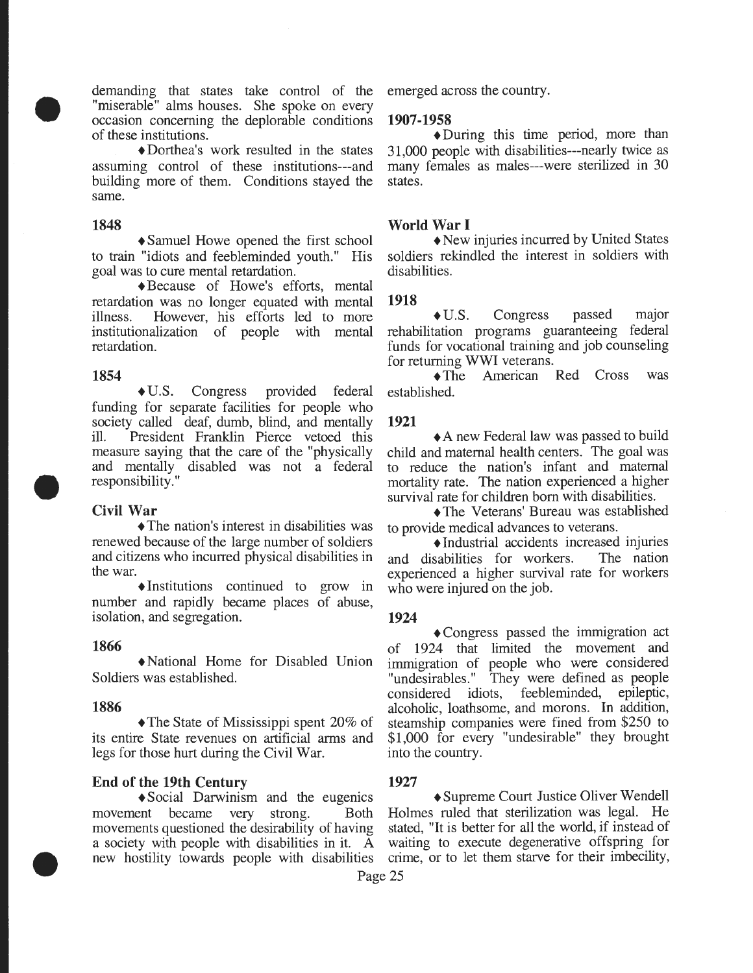demanding that states take control of the "miserable" alms houses. She spoke on every occasion concerning the deplorable conditions of these institutions.

• Dorthea's work resulted in the states assuming control of these institutions---and building more of them. Conditions stayed the same.

#### **1848**

•

+Samuel Howe opened the first school to train "idiots and feebleminded youth." His goal was to cure mental retardation.

• Because of Howe's efforts, mental retardation was no longer equated with mental illness. However, his efforts led to more institutionalization of people with mental retardation.

#### **1854**

+U.S. Congress provided federal funding for separate facilities for people who society called deaf, dumb, blind, and mentally ill. President Franklin Pierce vetoed this measure saying that the care of the "physically and mentally disabled was not a federal responsibility."

## **Civil War**

•

•

• The nation's interest in disabilities was renewed because of the large number of soldiers and citizens who incurred physical disabilities in the war.

 $\triangle$ Institutions continued to grow in number and rapidly became places of abuse, isolation, and segregation.

#### **1866**

+National Home for Disabled Union Soldiers was established.

#### **1886**

 $\triangle$ The State of Mississippi spent 20% of its entire State revenues on artificial arms and legs for those hurt during the Civil War.

#### **End of the 19th Century 1927**

movement became very strong. Both Holmes ruled that sterilization was legal. He movements questioned the desirability of having stated, "It is better for all the world, if instead of a society with people with disabilities in it.  $\tilde{A}$  waiting to execute degenerative offspring for new hostility towards people with disabilities crime, or to let them starve for their imbecility,

emerged across the country.

#### **1907-1958**

• During this time period, more than 31,000 people with disabilities---nearly twice as many females as males---were sterilized in 30 states.

#### **World War I**

+New injuries incurred by United States soldiers rekindled the interest in soldiers with disabilities.

#### **1918**

• U.S. Congress passed major rehabilitation programs guaranteeing federal funds for vocational training and job counseling for returning WWI veterans.

• The American Red Cross was established.

#### **1921**

• A new Federal law was passed to build child and maternal health centers. The goal was to reduce the nation's infant and maternal mortality rate. The nation experienced a higher survival rate for children born with disabilities.

• The Veterans' Bureau was established to provide medical advances to veterans.

+Industrial accidents increased injuries and disabilities for workers. The nation experienced a higher survival rate for workers who were injured on the job.

#### **1924**

+Congress passed the immigration act of 1924 that limited the movement and immigration of people who were considered "undesirables." They were defined as people considered idiots, feebleminded, epileptic, alcoholic, loathsome, and morons. In addition, steamship companies were fined from \$250 to \$1,000 for every "undesirable" they brought into the country.

 $\triangle$ Social Darwinism and the eugenics  $\triangle$ Supreme Court Justice Oliver Wendell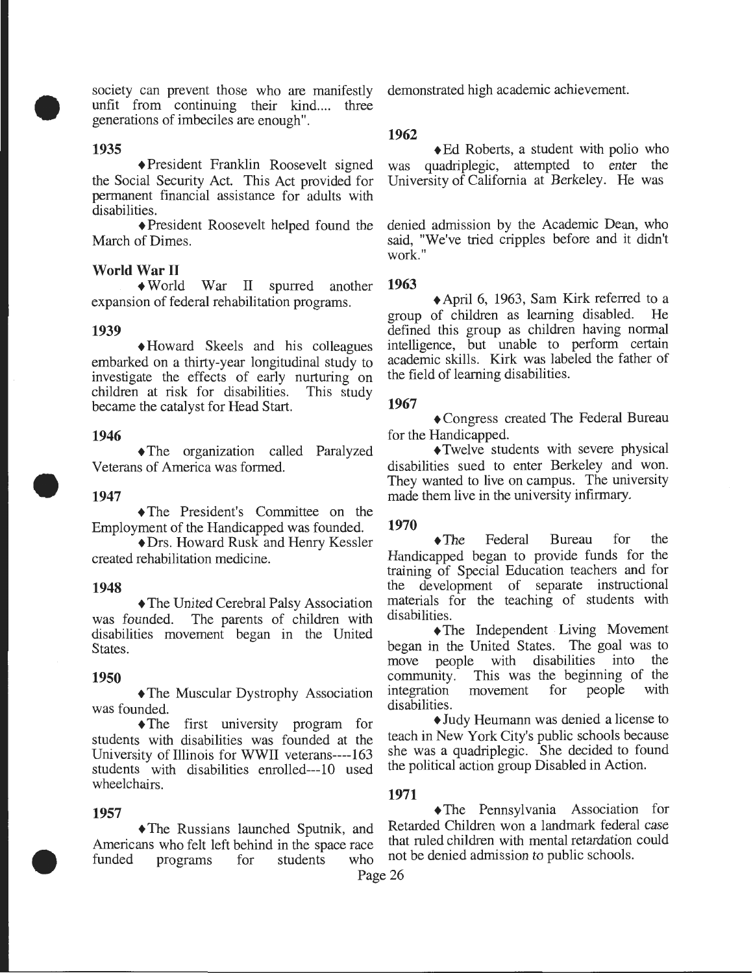society can prevent those who are manifestly demonstrated high academic achievement. unfit from continuing their kind.... three generations of imbeciles are enough".

#### **1935**

•

+President Franklin Roosevelt signed the Social Security Act. This Act provided for permanent financial assistance for adults with disabilities.

+President Roosevelt helped found the March of Dimes.

#### **World War II**

+World War II spurred another **1963**  expansion of federal rehabilitation programs.

#### **1939**

+Howard Skeels and his colleagues embarked on a thirty-year longitudinal study to investigate the effects of early nurturing on children at risk for disabilities. This study children at risk for disabilities. became the catalyst for Head Start.

#### **1946**

+The organization called Paralyzed Veterans of America was formed.

#### **1947**

•

+The President's Committee on the Employment of the Handicapped was founded.

+Drs. Howard Rusk and Henry Kessler created rehabilitation medicine.

#### **1948**

+The United Cerebral Palsy Association was founded. The parents of children with disabilities movement began in the United States.

#### **1950**

+The Muscular Dystrophy Association was founded.

•The first university program for students with disabilities was founded at the University of Illinois for WWII veterans----163 students with disabilities enrolled---10 used wheelchairs.

•

Americans who felt left behind in the space race funded programs for students who not be denied admission to public schools.

#### **1962**

◆ Ed Roberts, a student with polio who was quadriplegic, attempted to enter the University of California at Berkeley. He was

denied admission by the Academic Dean, who said, "We've tried cripples before and it didn't work."

+April 6, 1963, Sam Kirk referred to a group of children as learning disabled. He defined this group as children having normal intelligence, but unable to perform certain academic skills. Kirk was labeled the father of the field of learning disabilities.

#### **1967**

+Congress created The Federal Bureau for the Handicapped.

+Twelve students with severe physical disabilities sued to enter Berkeley and won. They wanted to live on campus. The university made them live in the university infirmary.

#### **1970**

•The Federal Bureau for the Handicapped began to provide funds for the training of Special Education teachers and for the development of separate instructional materials for the teaching of students with disabilities.

•The Independent Living Movement began in the United States. The goal was to move people with disabilities into the community. This was the beginning of the integration movement for people with integration movement for disabilities.

+Judy Heumann was denied a license to teach in New York City's public schools because she was a quadriplegic. She decided to found the political action group Disabled in Action.

#### **1971**

**1957**<br>**•The Russians launched Sputnik and Retarded Children won a landmark federal case** The Russians launched Sputnik, and Retarded Children won a landmark federal case<br>ans who felt left behind in the space race that ruled children with mental retardation could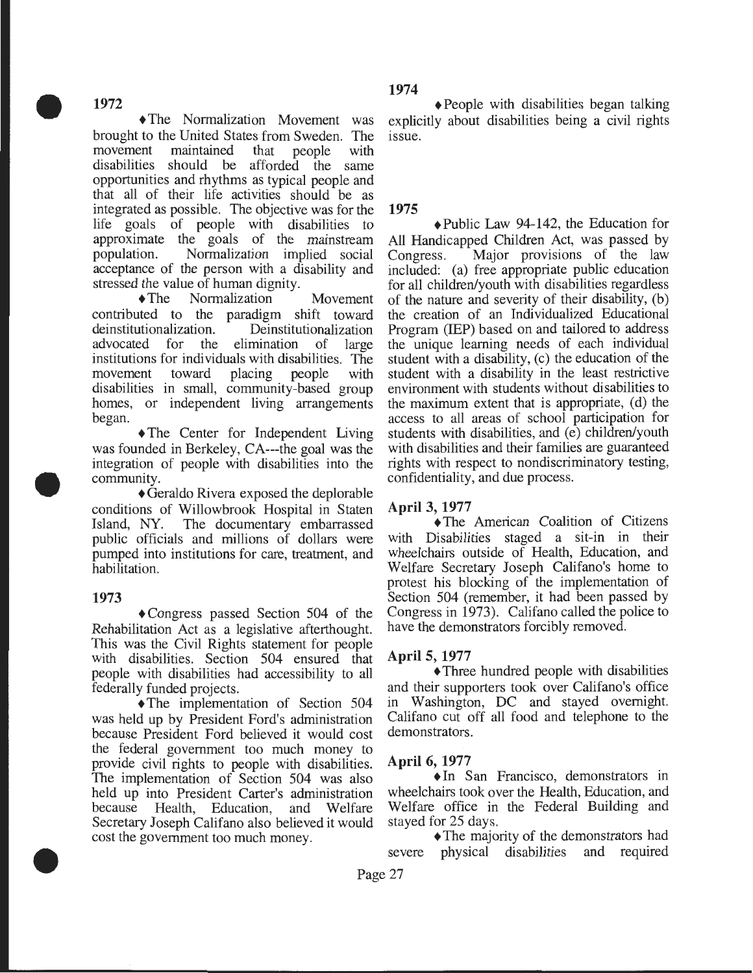•

+The Normalization Movement was brought to the United States from Sweden. The movement maintained that people with disabilities should be afforded the same opportunities and rhythms as typical people and that all of their life activities should be as integrated as possible. The objective was for the life goals of people with disabilities to approximate the goals of the mainstream population. Normalization implied social acceptance of the person with a disability and stressed the value of human dignity.

+The Normalization Movement contributed to the paradigm shift toward deinstitutionalization. Deinstitutionalization advocated for the elimination of large institutions for individuals with disabilities. The movement toward placing people with disabilities in small, community-based group homes, or independent living arrangements began.

• The Center for Independent Living was founded in Berkeley, CA---the goal was the integration of people with disabilities into the community.

+Geraldo Rivera exposed the deplorable conditions of Willowbrook Hospital in Staten Island, NY. The documentary embarrassed public officials and millions of dollars were pumped into institutions for care, treatment, and habilitation.

## **1973**

•

•

+Congress passed Section 504 of the Rehabilitation Act as a legislative afterthought. This was the Civil Rights statement for people with disabilities. Section 504 ensured that people with disabilities had accessibility to all federally funded projects.

+The implementation of Section 504 was held up by President Ford's administration because President Ford believed it would cost the federal government too much money to provide civil rights to people with disabilities. The implementation of Section 504 was also held up into President Carter's administration because Health, Education, and Welfare Secretary Joseph Califano also believed it would cost the government too much money.

## **1974**

• People with disabilities began talking explicitly about disabilities being a civil rights issue.

## **1975**

+Public Law 94-142, the Education for All Handicapped Children Act, was passed by Congress. Major provisions of the law Major provisions of the law included: (a) free appropriate public education for all children/youth with disabilities regardless of the nature and severity of their disability, (b) the creation of an Individualized Educational Program (IEP) based on and tailored to address the unique learning needs of each individual student with a disability, (c) the education of the student with a disability in the least restrictive environment with students without disabilities to the maximum extent that is appropriate, (d) the access to all areas of school participation for students with disabilities, and (e) children/youth with disabilities and their families are guaranteed rights with respect to nondiscriminatory testing, confidentiality, and due process.

## **April 3, 1977**

+The American Coalition of Citizens with Disabilities staged a sit-in in their wheelchairs outside of Health, Education, and Welfare Secretary Joseph Califano's home to protest his blocking of the implementation of Section 504 (remember, it had been passed by Congress in 1973). Califano called the police to have the demonstrators forcibly removed.

## **April 5, 1977**

+Three hundred people with disabilities and their supporters took over Califano's office in Washington, DC and stayed overnight. Califano cut off all food and telephone to the demonstrators.

## **April 6, 1977**

+In San Francisco, demonstrators in wheelchairs took over the Health, Education, and Welfare office in the Federal Building and stayed for 25 days.

• The majority of the demonstrators had severe physical disabilities and required

Page 27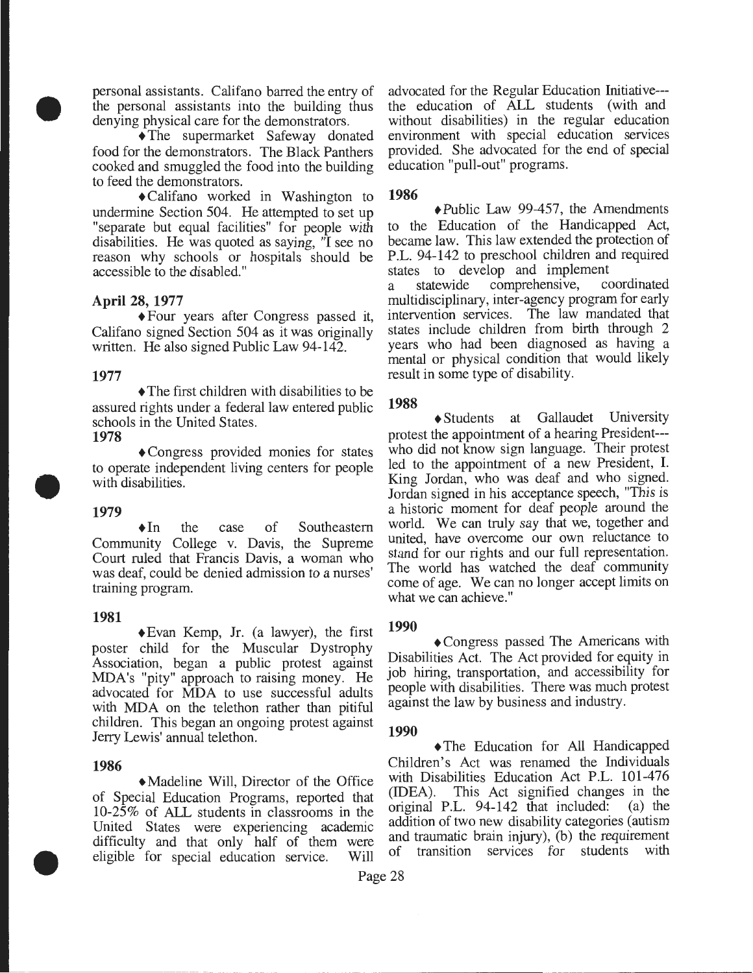personal assistants. Califano barred the entry of the personal assistants into the building thus denying physical care for the demonstrators.

+The supermarket Safeway donated food for the demonstrators. The Black Panthers cooked and smuggled the food into the building to feed the demonstrators.

+Califano worked in Washington to undermine Section 504. He attempted to set up "separate but equal facilities" for people with disabilities. He was quoted as saying, "I see no reason why schools or hospitals should be accessible to the disabled."

#### **April** 28, **1977**

+Four years after Congress passed it, Califano signed Section 504 as it was originally written. He also signed Public Law 94-142.

#### **1977**

•

• The first children with disabilities to be assured rights under a federal law entered public schools in the United States. **1978** 

+Congress provided monies for states to operate independent living centers for people with disabilities.

## **1979**

•

+In the case of Southeastern Community College v. Davis, the Supreme Court ruled that Francis Davis, a woman who was deaf, could be denied admission to a nurses' training program.

#### **1981**

+Evan Kemp, Jr. (a lawyer), the first poster child for the Muscular Dystrophy Association, began a public protest against MDA's "pity" approach to raising money. He advocated for MDA to use successful adults with MDA on the telethon rather than pitiful children. This began an ongoing protest against Jerry Lewis' annual telethon.

#### **1986**

•

+Madeline Will, Director of the Office of Special Education Programs, reported that 10-25% of ALL students in classrooms in the United States were experiencing academic difficulty and that only half of them were eligible for special education service. Will advocated for the Regular Education Initiative-- the education of ALL students (with and without disabilities) in the regular education environment with special education services provided. She advocated for the end of special education "pull-out" programs.

### **1986**

+Public Law 99-457, the Amendments to the Education of the Handicapped Act, became law. This law extended the protection of P.L. 94-142 to preschool children and required

states to develop and implement<br>a statewide comprehensive, coordinated a statewide comprehensive, multidisciplinary, inter-agency program for early intervention services. The law mandated that states include children from birth through 2 years who had been diagnosed as having a mental or physical condition that would likely result in some type of disability.

### **1988**

+Students at Gallaudet University protest the appointment of a hearing President-- who did not know sign language. Their protest led to the appointment of a new President, I. King Jordan, who was deaf and who signed. Jordan signed in his acceptance speech, "This is a historic moment for deaf people around the world. We can truly say that we, together and united, have overcome our own reluctance to stand for our rights and our full representation. The world has watched the deaf community come of age. We can no longer accept limits on what we can achieve."

#### **1990**

+Congress passed The Americans with Disabilities Act. The Act provided for equity in job hiring, transportation, and accessibility for people with disabilities. There was much protest against the law by business and industry.

## **1990**

+The Education for All Handicapped Children's Act was renamed the Individuals with Disabilities Education Act P.L. 101-476 (IDEA). This Act signified changes in the original P.L. 94-142 that included: (a) the addition of two new disability categories (autism and traumatic brain injury), (b) the requirement of transition services for students with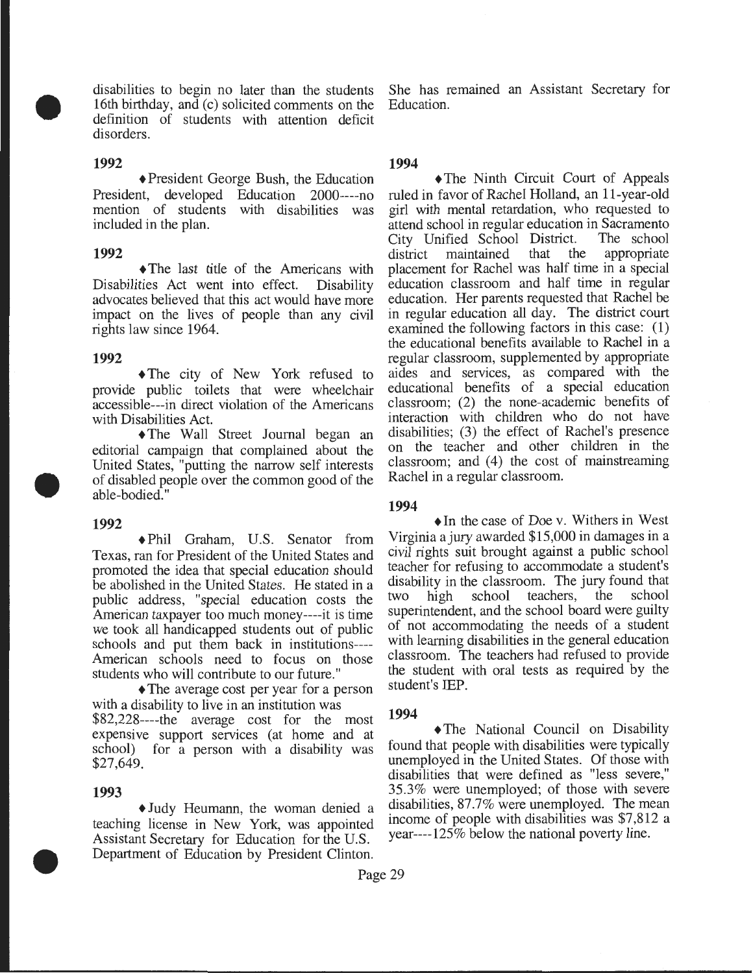16th birthday, and (c) solicited comments on the Education. definition of students with attention deficit disorders.

### **1992**

•

+President George Bush, the Education President, developed Education 2000----no mention of students with disabilities was included in the plan.

## **1992**

+The last title of the Americans with Disabilities Act went into effect. Disability advocates believed that this act would have more impact on the lives of people than any civil rights law since 1964.

### **1992**

+The city of New York refused to provide public toilets that were wheelchair accessible---in direct violation of the Americans with Disabilities Act.

+The Wall Street Journal began an editorial campaign that complained about the United States, "putting the narrow self interests of disabled people over the common good of the able-bodied."

#### **1992**

•

+Phil Graham, U.S. Senator from Texas, ran for President of the United States and promoted the idea that special education should be abolished in the United States. He stated in a public address, "special education costs the American taxpayer too much money----it is time we took all handicapped students out of public schools and put them back in institutions---- American schools need to focus on those students who will contribute to our future."

• The average cost per year for a person with a disability to live in an institution was \$82,228----the average cost for the most expensive support services (at home and at school) for a person with a disability was \$27,649.

## **1993**

•

+Judy Heumann, the woman denied a teaching license in New York, was appointed Assistant Secretary for Education for the U.S. Department of Education by President Clinton.

disabilities to begin no later than the students She has remained an Assistant Secretary for

## **1994**

• The Ninth Circuit Court of Appeals ruled in favor of Rachel Holland, an 11-year -old girl with mental retardation, who requested to attend school in regular education in Sacramento<br>City Unified School District. The school City Unified School District. district maintained that the appropriate placement for Rachel was half time in a special education classroom and half time in regular education. Her parents requested that Rachel be in regular education all day. The district court examined the following factors in this case: (1) the educational benefits available to Rachel in a regular classroom, supplemented by appropriate aides and services, as compared with the educational benefits of a special education classroom; (2) the none-academic benefits of interaction with children who do not have disabilities; (3) the effect of Rachel's presence on the teacher and other children in the classroom; and  $(4)$  the cost of mainstreaming Rachel in a regular classroom.

## **1994**

 $\triangle$ In the case of Doe v. Withers in West Virginia a jury awarded \$15,000 in damages in a civil rights suit brought against a public school teacher for refusing to accommodate a student's disability in the classroom. The jury found that<br>two high school teachers, the school two high school teachers, the superintendent, and the school board were guilty of not accommodating the needs of a student with learning disabilities in the general education classroom. The teachers had refused to provide the student with oral tests as required by the student's IEP.

## **1994**

+The National Council on Disability found that people with disabilities were typically unemployed in the United States. Of those with disabilities that were defined as "less severe," 35.3% were unemployed; of those with severe disabilities, 87.7% were unemployed. The mean income of people with disabilities was \$7,812 a year----125% below the national poverty line.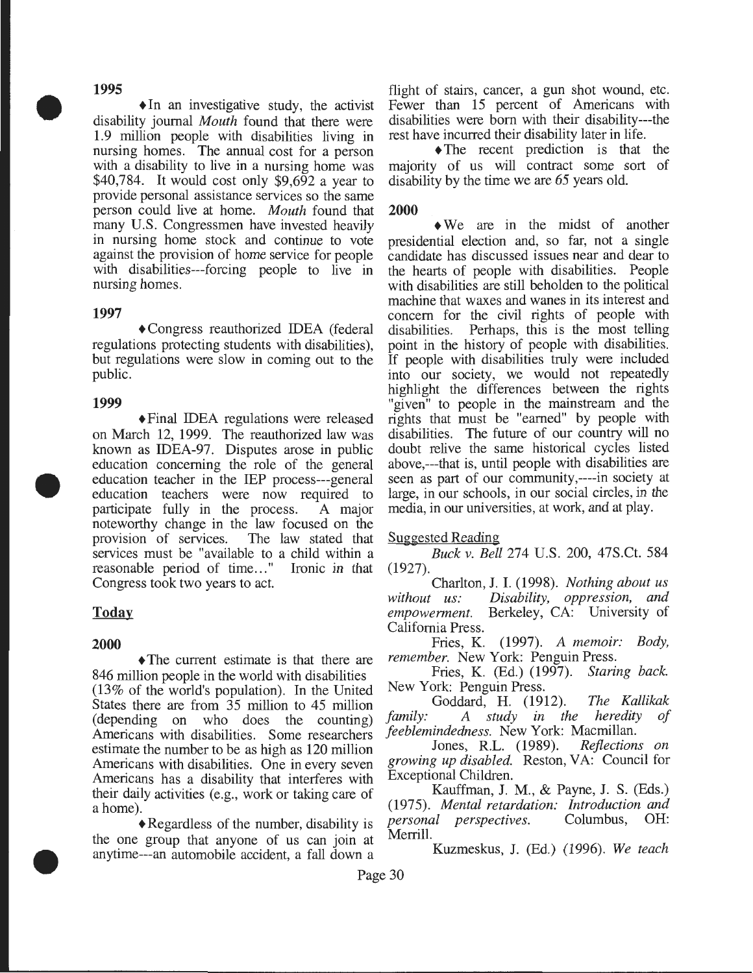#### **1995**

•

 $\triangle$ In an investigative study, the activist disability journal *Mouth* found that there were 1.9 million people with disabilities living in nursing homes. The annual cost for a person with a disability to live in a nursing home was \$40,784. It would cost only \$9,692 a year to provide personal assistance services so the same person could live at home. *Mouth* found that many U.S. Congressmen have invested heavily in nursing home stock and continue to vote against the provision of home service for people with disabilities---forcing people to live in nursing homes.

#### **1997**

+Congress reauthorized IDEA (federal regulations protecting students with disabilities), but regulations were slow in coming out to the public.

#### **1999**

•

•

+Final IDEA regulations were released on March 12, 1999. The reauthorized law was known as IDEA-97. Disputes arose in public education concerning the role of the general education teacher in the IEP process---general education teachers were now required to participate fully in the process. A major noteworthy change in the law focused on the provision of services. The law stated that services must be "available to a child within a reasonable period of time..." Ironic in that Congress took two years to act.

## **Today**

#### **2000**

• The current estimate is that there are 846 million people in the world with disabilities (13% of the world's population). In the United States there are from 35 million to 45 million (depending on who does the counting) Americans with disabilities. Some researchers estimate the number to be as high as 120 million Americans with disabilities. One in every seven Americans has a disability that interferes with their daily activities (e.g., work or taking care of a home).

+Regardless of the number, disability is the one group that anyone of us can join at anytime---an automobile accident, a fall down a flight of stairs, cancer, a gun shot wound, etc. Fewer than 15 percent of Americans with disabilities were born with their disability---the rest have incurred their disability later in life.

 $\triangle$ The recent prediction is that the majority of us will contract some sort of disability by the time we are 65 years old.

#### **2000**

• We are in the midst of another presidential election and, so far, not a single candidate has discussed issues near and dear to the hearts of people with disabilities. People with disabilities are still beholden to the political machine that waxes and wanes in its interest and concern for the civil rights of people with disabilities. Perhaps, this is the most telling point in the history of people with disabilities. If people with disabilities truly were included into our society, we would not repeatedly highlight the differences between the rights "given" to people in the mainstream and the rights that must be "earned" by people with disabilities. The future of our country will no doubt relive the same historical cycles listed above,---that is, until people with disabilities are seen as part of our community,----in society at large, in our schools, in our social circles, in the media, in our universities, at work, and at play.

#### Suggested Reading

*Buck v. Bell* 274 U.S. 200, 47S.Ct. 584 (1927).

Charlton, J. I. (1998). *Nothing about us without us: Disability, oppression, and empowerment.* Berkeley, CA: University of California Press.

Fries, K. (1997). *A memoir: Body, remember.* New York: Penguin Press.

Fries, K. (Ed.) (1997). *Staring back.*  New York: Penguin Press.

Goddard, H. (1912). *The Kallikak family:* A *study in the heredity feeblemindedness.* New York: Macmillan.

Jones, R.L. (1989). *growing up disabled.* Reston, VA: Council for Exceptional Children.

Kauffman, J. M., & Payne, J. S. (Eds.) (1975). *Mental retardation: Introduction and personal perspectives.* Merrill.

Kuzmeskus, J. (Ed.) (1996). *We teach*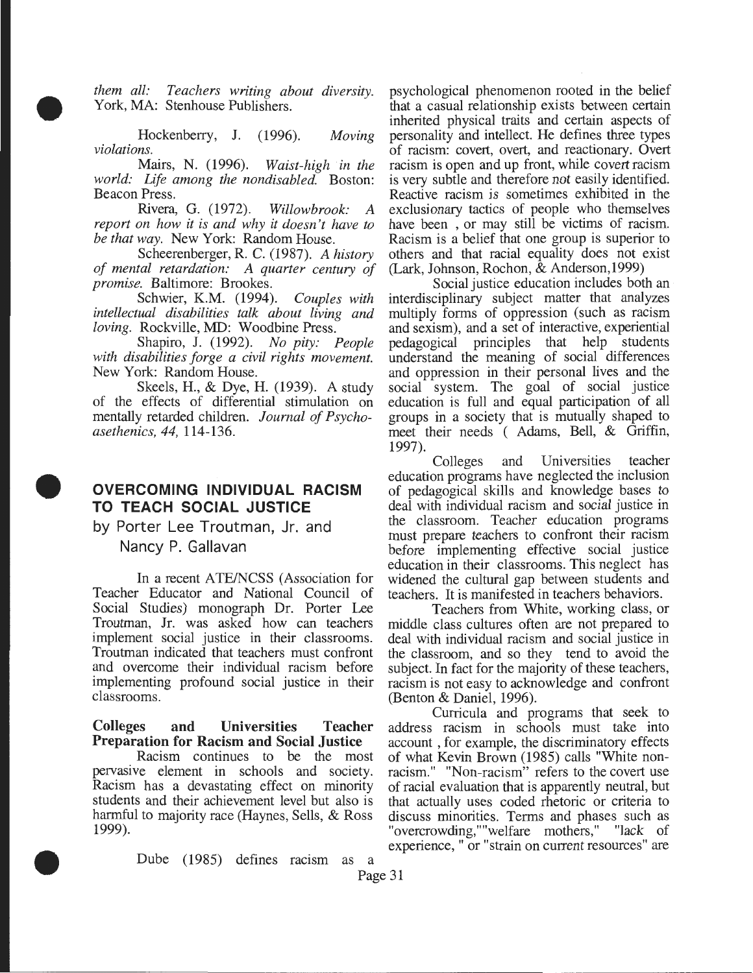*them all: Teachers writing about diversity.* York, MA: Stenhouse Publishers.

•

•

•

Hockenberry, J. (1996). *violations. Moving* 

Mairs, N. (1996). *Waist-high 'in the world: Life among the nondisabled.* Boston: Beacon Press.

Rivera, G. (1972). *Willowbrook: A report on how it is and why it doesn't have to be that way.* New York: Random House.

Scheerenberger, R. C. (1987). *A history of mental retardation: A quarter century of promise.* Baltimore: Brookes.

Schwier, K.M. (1994). *Couples with intellectual disabilities talk about living and loving.* Rockville, MD: Woodbine Press.

Shapiro, J. (1992). *No pity: People with disabilities forge a civil rights movement.*  New York: Random House.

Skeels, H., & Dye, H. (1939). A study of the effects of differential stimulation on mentally retarded children. *Journal of Psychoasethenics, 44,* 114-136.

## **OVERCOMING INDIVIDUAL RACISM TO TEACH SOCIAL JUSTICE**

by Porter Lee Troutman, Jr. and Nancy P. Gallavan

In a recent ATE/NCSS (Association for Teacher Educator and National Council of Social Studies) monograph Dr. Porter Lee Troutman, Jr. was asked how can teachers implement social justice in their classrooms. Troutman indicated that teachers must confront and overcome their individual racism before implementing profound social justice in their classrooms.

### Colleges and Universities Teacher Preparation for Racism and Social Justice

Racism continues to be the most pervasive element in schools and society. Racism has a devastating effect on minority students and their achievement level but also is harmful to majority race (Haynes, Sells, & Ross 1999).

psychological phenomenon rooted in the belief that a casual relationship exists between certain inherited physical traits and certain aspects of personality and intellect. He defines three types of racism: covert, overt, and reactionary. Overt racism is open and up front, while covert racism is very subtle and therefore not easily identified. Reactive racism is sometimes exhibited in the exclusionary tactics of people who themselves have been , or may still be victims of racism. Racism is a belief that one group is superior to others and that racial equality does not exist (Lark, Johnson, Rochon, & Anderson,1999)

Social justice education includes both an interdisciplinary subject matter that analyzes multiply forms of oppression (such as racism and sexism), and a set of interactive, experiential pedagogical principles that help students understand the meaning of social differences and oppression in their personal lives and the social system. The goal of social justice education is full and equal participation of all groups in a society that is mutually shaped to meet their needs ( Adams, Bell, & Griffin, 1997).

Colleges and Universities teacher education programs have neglected the inclusion of pedagogical skills and knowledge bases to deal with individual racism and social justice in the classroom. Teacher education programs must prepare teachers to confront their racism before implementing effective social justice education in their classrooms. This neglect has widened the cultural gap between students and teachers. It is manifested in teachers behaviors.

Teachers from White, working class, or middle class cultures often are not prepared to deal with individual racism and social justice in the classroom, and so they tend to avoid the subject. In fact for the majority of these teachers, racism is not easy to acknowledge and confront (Benton & Daniel, 1996).

Curricula and programs that seek to address racism in schools must take into account , for example, the discriminatory effects of what Kevin Brown (1985) calls "White nonracism." "Non-racism" refers to the covert use of racial evaluation that is apparently neutral, but that actually uses coded rhetoric or criteria to discuss minorities. Terms and phases such as "overcrowding,""welfare mothers," "lack of experience, " or "strain on current resources" are

Dube ( 1985) defines racism as a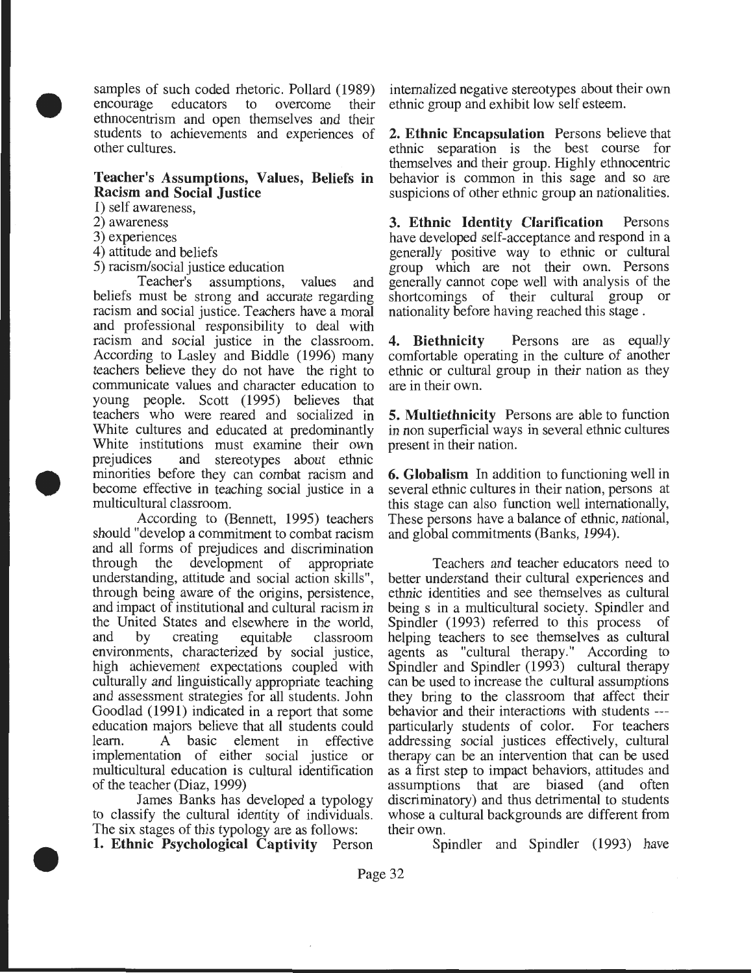samples of such coded rhetoric. Pollard (1989) encourage educators to overcome their ethnocentrism and open themselves and their students to achievements and experiences of other cultures.

#### **Teacher's Assumptions, Values, Beliefs in Racism and Social Justice**

1) self awareness,

2) awareness

•

•

•

- 3) experiences
- 4) attitude and beliefs
- 5) racism/social justice education

Teacher's assumptions, values and beliefs must be strong and accurate regarding racism and social justice. Teachers have a moral and professional responsibility to deal with racism and social justice in the classroom. According to Lasley and Biddle (1996) many teachers believe they do not have the right to communicate values and character education to young people. Scott (1995) believes that teachers who were reared and socialized in White cultures and educated at predominantly White institutions must examine their own<br>prejudices and stereotypes about ethnic and stereotypes about ethnic minorities before they can combat racism and become effective in teaching social justice in a multicultural classroom.

According to (Bennett, 1995) teachers should "develop a commitment to combat racism and all forms of prejudices and discrimination through the development of appropriate understanding, attitude and social action skills", through being aware of the origins, persistence, and impact of institutional and cultural racism in the United States and elsewhere in the world, and by creating equitable classroom environments, characterized by social justice, high achievement expectations coupled with culturally and linguistically appropriate teaching and assessment strategies for all students. John Goodlad ( 1991) indicated in a report that some education majors believe that all students could learn. A basic element in effective implementation of either social justice or multicultural education is cultural identification of the teacher (Diaz, 1999)

James Banks has developed a typology to classify the cultural identity of individuals. The six stages of this typology are as follows: **1. Ethnic Psychological Captivity** Person internalized negative stereotypes about their own ethnic group and exhibit low self esteem.

**2. Ethnic Encapsulation** Persons believe that ethnic separation is the best course for themselves and their group. Highly ethnocentric behavior is common in this sage and so are suspicions of other ethnic group an nationalities.

**3. Ethnic Identity Clarification** Persons have developed self-acceptance and respond in a generally positive way to ethnic or cultural group which are not their own. Persons generally cannot cope well with analysis of the shortcomings of their cultural group or nationality before having reached this stage .

**4. Biethnicity** Persons are as equally comfortable operating in the culture of another ethnic or cultural group in their nation as they are in their own.

**5. Multiethnicity** Persons are able to function in non superficial ways in several ethnic cultures present in their nation.

**6. Globalism** In addition to functioning well in several ethnic cultures in their nation, persons at this stage can also function well internationally, These persons have a balance of ethnic, national, and global commitments (Banks, 1994).

Teachers and teacher educators need to better understand their cultural experiences and ethnic identities and see themselves as cultural being s in a multicultural society. Spindler and Spindler (1993) referred to this process of helping teachers to see themselves as cultural agents as "cultural therapy." According to Spindler and Spindler (1993) cultural therapy can be used to increase the cultural assumptions they bring to the classroom that affect their behavior and their interactions with students -- particularly students of color. For teachers addressing social justices effectively, cultural therapy can be an intervention that can be used as a first step to impact behaviors, attitudes and assumptions that are biased (and often discriminatory) and thus detrimental to students whose a cultural backgrounds are different from their own.

Spindler and Spindler (1993) have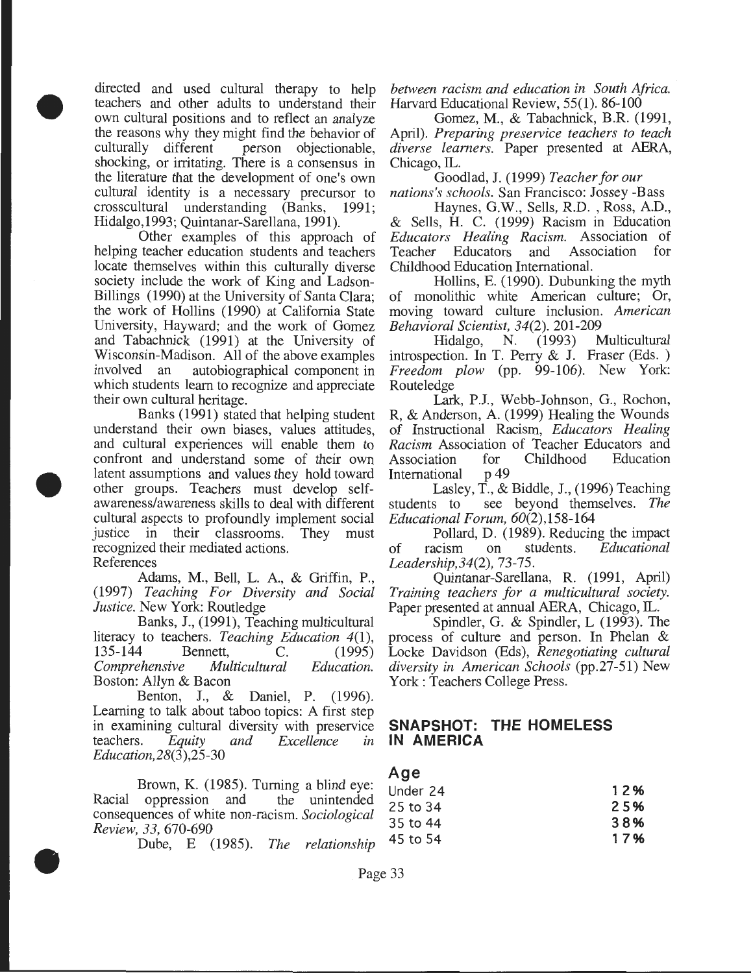directed and used cultural therapy to help teachers and other adults to understand their own cultural positions and to reflect an analyze the reasons why they might find the behavior of culturally different person objectionable, shocking, or irritating. There is a consensus in the literature that the development of one's own cultural identity is a necessary precursor to crosscultural understanding (Banks, 1991; Hidalgo,l993; Quintanar-Sarellana, 1991).

•

•

•

Other examples of this approach of helping teacher education students and teachers locate themselves within this culturally diverse society include the work of King and Ladson-Billings (1990) at the University of Santa Clara; the work of Hollins (1990) at California State University, Hayward; and the work of Gomez and Tabachnick (1991) at the University of Wisconsin-Madison. All of the above examples involved an autobiographical component in which students learn to recognize and appreciate their own cultural heritage.

Banks (1991) stated that helping student understand their own biases, values attitudes, and cultural experiences will enable them to confront and understand some of their own latent assumptions and values they hold toward other groups. Teachers must develop selfawareness/awareness skills to deal with different cultural aspects to profoundly implement social justice in their classrooms. They must recognized their mediated actions. References

Adams, M., Bell, L. A., & Griffin, P., (1997) *Teaching For Diversity and Social Justice.* New York: Routledge

Banks, J., (1991), Teaching multicultural literacy to teachers. *Teaching Education* 4(1), Bennett, C. (1995) *Comprehensive Multicultural Education.*  Boston: Allyn & Bacon

Benton, J., & Daniel, P. (1996). Learning to talk about taboo topics: A first step in examining cultural diversity with preservice<br>teachers. Equity and Excellence in Equity and *Excellence* in *Education,28(3),25-30* 

Brown, K. (1985). Turning a blind eye: Racial oppression and the unintended consequences of white non-racism. *Sociological Review, 33,* 670-690

Dube, E (1985). *The relationship* 

*between racism and education in South Africa .* Harvard Educational Review, 55(1). 86-100

Gomez, M., & Tabachnick, B.R. (1991, April). *Preparing preservice teachers to teach diverse learners.* Paper presented at AERA, Chicago, IL.

Goodlad, J. (1999) *Teacher for our nations's schools.* San Francisco: Jossey -Bass

Haynes, G.W., Sells, R.D. , Ross, A.D., & Sells, H. C. (1999) Racism in Education *Educators Healing Racism.* Association of Teacher Educators and Childhood Education International.

Hollins, E. (1990). Dubunking the myth of monolithic white American culture; Or, moving toward culture inclusion. *American Behavioral Scientist, 34(2).* 201-209

Hidalgo, N. (1993) Multicultural introspection. In T. Perry & J. Fraser (Eds. ) *Freedom plow* (pp. 99-106). New York: Routeledge

Lark, P.J., Webb-Johnson, G., Rochon, R, & Anderson, A. (1999) Healing the Wounds of Instructional Racism, *Educators Healing Racism* Association of Teacher Educators and Association for<br>International p49 International

Lasley, T., & Biddle, J., (1996) Teaching students to see beyond themselves. *The Educational Forum,* 60(2),158-164

Pollard, D. (1989). Reducing the impact of racism on students. *Educational Leadership,34(2),* 73-75.

Quintanar-Sarellana, R. (1991, April) *Training teachers for a multicultural society.*  Paper presented at annual AERA, Chicago, IL.

Spindler, G. & Spindler, L (1993). The process of culture and person. In Phelan & Locke Davidson (Eds), *Renegotiating cultural diversity in American Schools* (pp.27-51) New York : Teachers College Press.

## **SNAPSHOT: THE HOMELESS IN AMERICA**

## **Age**

| Under 24 | 12% |
|----------|-----|
| 25 to 34 | 25% |
| 35 to 44 | 38% |
| 45 to 54 | 17% |
|          |     |